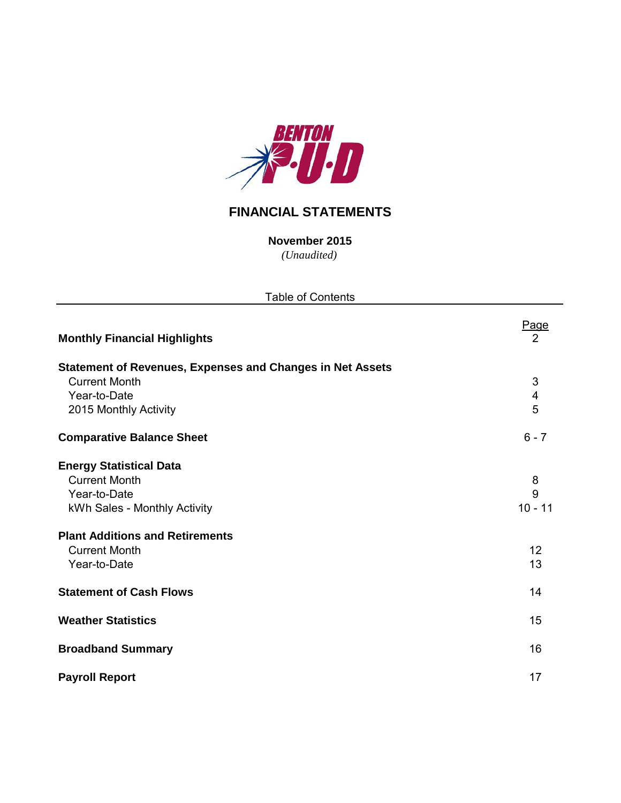

# **FINANCIAL STATEMENTS**

*(Unaudited)* **November 2015**

Page<br>2 **Monthly Financial Highlights** 2 **Statement of Revenues, Expenses and Changes in Net Assets Current Month** 3 Year-to-Date 4<br>
2015 Monthly Activity 6<br>
5 2015 Monthly Activity **Comparative Balance Sheet** 6 - 7 **Energy Statistical Data** Current Month 8 Year-to-Date 9 kWh Sales - Monthly Activity 10 - 11 **Plant Additions and Retirements Current Month** 12 **The Vear-to-Date** 13 **Statement of Cash Flows** 14 **Weather Statistics** 15 **Broadband Summary** 16 **Payroll Report** 17 Table of Contents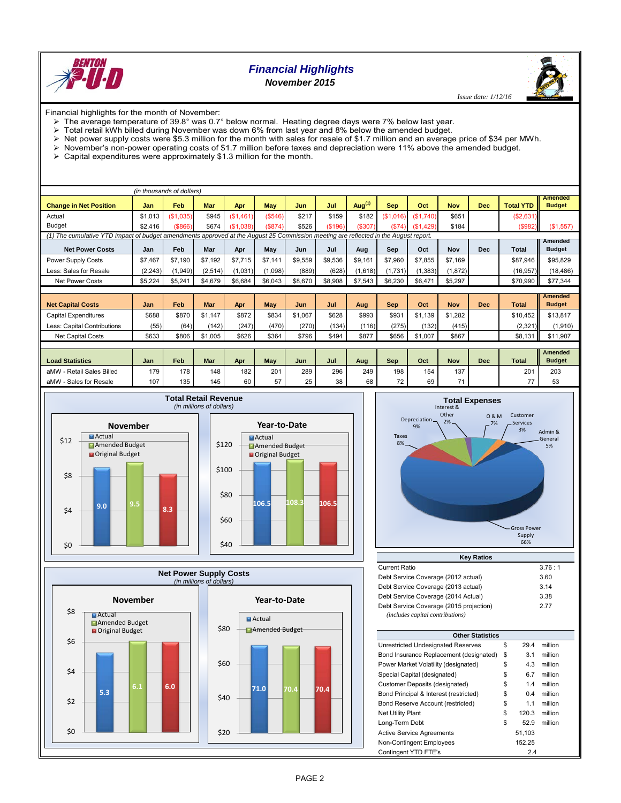

# *Financial Highlights November 2015*

 *Issue date: 1/12/16*

Financial highlights for the month of November:

- The average temperature of 39.8° was 0.7° below normal. Heating degree days were 7% below last year.
- $\triangleright$  Total retail kWh billed during November was down 6% from last year and 8% below the amended budget.<br>  $\triangleright$  Net power supply costs were \$5.3 million for the month with sales for resale of \$1.7 million and an averag
- Net power supply costs were \$5.3 million for the month with sales for resale of \$1.7 million and an average price of \$34 per MWh.
- November's non-power operating costs of \$1.7 million before taxes and depreciation were 11% above the amended budget.
- $\triangleright$  Capital expenditures were approximately \$1.3 million for the month.

|                                                                                                                                     |          | (in thousands of dollars) |         |           |            |         |         |           |            |           |            |            |                  |                                 |
|-------------------------------------------------------------------------------------------------------------------------------------|----------|---------------------------|---------|-----------|------------|---------|---------|-----------|------------|-----------|------------|------------|------------------|---------------------------------|
| <b>Change in Net Position</b>                                                                                                       | Jan      | Feb                       | Mar     | Apr       | May        | Jun     | Jul     | Aug $(1)$ | <b>Sep</b> | Oct       | <b>Nov</b> | <b>Dec</b> | <b>Total YTD</b> | <b>Amended</b><br><b>Budget</b> |
| Actual                                                                                                                              | \$1,013  | (\$1,035)                 | \$945   | (\$1,461) | (\$546)    | \$217   | \$159   | \$182     | (\$1,016)  | (\$1,740) | \$651      |            | (S2, 631)        |                                 |
| <b>Budget</b>                                                                                                                       | \$2,416  | ( \$866)                  | \$674   | (\$1.038) | (S874)     | \$526   | (\$196) | (\$307)   | (\$74)     | (\$1,429) | \$184      |            | (\$982)          | (\$1,557)                       |
| (1) The cumulative YTD impact of budget amendments approved at the August 25 Commission meeting are reflected in the August report. |          |                           |         |           |            |         |         |           |            |           |            |            |                  |                                 |
| <b>Net Power Costs</b>                                                                                                              | Jan      | Feb                       | Mar     | Apr       | May        | Jun     | Jul     | Aug       | Sep        | Oct       | Nov        | <b>Dec</b> | Total            | Amended<br><b>Budget</b>        |
| Power Supply Costs                                                                                                                  | \$7,467  | \$7.190                   | \$7.192 | \$7,715   | \$7,141    | \$9,559 | \$9,536 | \$9,161   | \$7,960    | \$7,855   | \$7,169    |            | \$87,946         | \$95,829                        |
| Less: Sales for Resale                                                                                                              | (2, 243) | (1, 949)                  | (2,514) | (1,031)   | (1,098)    | (889)   | (628)   | (1,618)   | (1,731)    | (1, 383)  | (1,872)    |            | (16, 957)        | (18, 486)                       |
| <b>Net Power Costs</b>                                                                                                              | \$5,224  | \$5,241                   | \$4,679 | \$6,684   | \$6,043    | \$8,670 | \$8,908 | \$7,543   | \$6,230    | \$6,471   | \$5,297    |            | \$70,990         | \$77,344                        |
|                                                                                                                                     |          |                           |         |           |            |         |         |           |            |           |            |            |                  |                                 |
| <b>Net Capital Costs</b>                                                                                                            | Jan      | Feb                       | Mar     | Apr       | <b>May</b> | Jun     | Jul     | Aug       | <b>Sep</b> | Oct       | <b>Nov</b> | <b>Dec</b> | <b>Total</b>     | <b>Amended</b><br><b>Budget</b> |
| <b>Capital Expenditures</b>                                                                                                         | \$688    | \$870                     | \$1.147 | \$872     | \$834      | \$1.067 | \$628   | \$993     | \$931      | \$1,139   | \$1,282    |            | \$10.452         | \$13,817                        |
|                                                                                                                                     |          |                           |         |           |            |         |         |           |            |           |            |            |                  |                                 |
| Less: Capital Contributions                                                                                                         | (55)     | (64)                      | (142)   | (247)     | (470)      | (270)   | (134)   | (116)     | (275)      | (132)     | (415)      |            | (2, 321)         | (1,910)                         |
| <b>Net Capital Costs</b>                                                                                                            | \$633    | \$806                     | \$1,005 | \$626     | \$364      | \$796   | \$494   | \$877     | \$656      | \$1,007   | \$867      |            | \$8,131          | \$11,907                        |
|                                                                                                                                     |          |                           |         |           |            |         |         |           |            |           |            |            |                  |                                 |
| <b>Load Statistics</b>                                                                                                              | Jan      | Feb                       | Mar     | Apr       | <b>May</b> | Jun     | Jul     | Aug       | <b>Sep</b> | Oct       | <b>Nov</b> | <b>Dec</b> | <b>Total</b>     | <b>Amended</b><br><b>Budget</b> |
| aMW - Retail Sales Billed                                                                                                           | 179      | 178                       | 148     | 182       | 201        | 289     | 296     | 249       | 198        | 154       | 137        |            | 201              | 203                             |
| aMW - Sales for Resale                                                                                                              | 107      | 135                       | 145     | 60        | 57         | 25      | 38      | 68        | 72         | 69        | 71         |            | 77               | 53                              |









| <b>Key Ratios</b>                       |        |
|-----------------------------------------|--------|
| <b>Current Ratio</b>                    | 3.76:1 |
| Debt Service Coverage (2012 actual)     | 3.60   |
| Debt Service Coverage (2013 actual)     | 3.14   |
| Debt Service Coverage (2014 Actual)     | 3.38   |
| Debt Service Coverage (2015 projection) | 277    |
| (includes capital contributions)        |        |

| <b>Other Statistics</b>                 |    |        |         |  |  |  |  |  |  |  |
|-----------------------------------------|----|--------|---------|--|--|--|--|--|--|--|
| Unrestricted Undesignated Reserves      | \$ | 29.4   | million |  |  |  |  |  |  |  |
| Bond Insurance Replacement (designated) | \$ | 3.1    | million |  |  |  |  |  |  |  |
| Power Market Volatility (designated)    | \$ | 4.3    | million |  |  |  |  |  |  |  |
| Special Capital (designated)            | \$ | 6.7    | million |  |  |  |  |  |  |  |
| Customer Deposits (designated)          | \$ | 1.4    | million |  |  |  |  |  |  |  |
| Bond Principal & Interest (restricted)  | \$ | 0.4    | million |  |  |  |  |  |  |  |
| Bond Reserve Account (restricted)       | \$ | 1.1    | million |  |  |  |  |  |  |  |
| <b>Net Utility Plant</b>                | \$ | 120.3  | million |  |  |  |  |  |  |  |
| Long-Term Debt                          | \$ | 52.9   | million |  |  |  |  |  |  |  |
| <b>Active Service Agreements</b>        |    | 51,103 |         |  |  |  |  |  |  |  |
| Non-Contingent Employees                |    | 152.25 |         |  |  |  |  |  |  |  |
| Contingent YTD FTE's                    |    | 2.4    |         |  |  |  |  |  |  |  |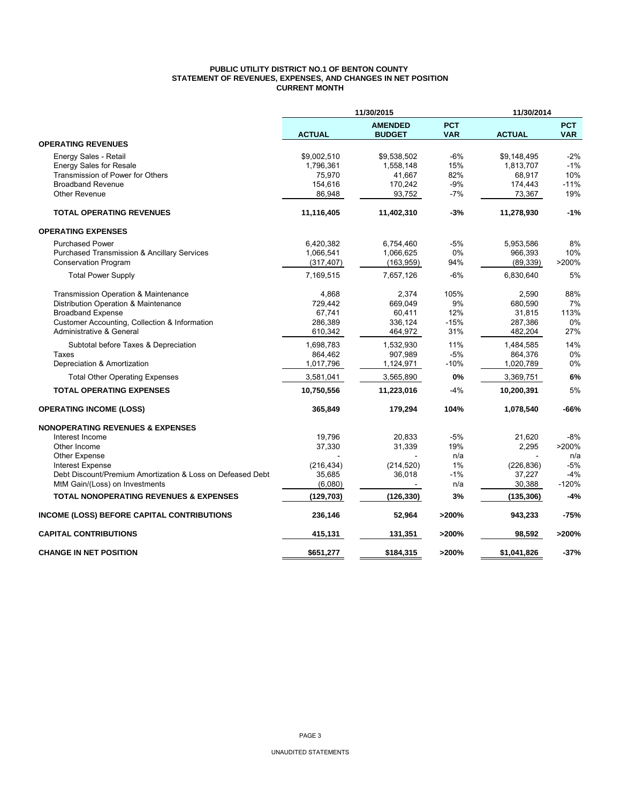#### **PUBLIC UTILITY DISTRICT NO.1 OF BENTON COUNTY STATEMENT OF REVENUES, EXPENSES, AND CHANGES IN NET POSITION CURRENT MONTH**

|                                                            |               | 11/30/2015                      |                          | 11/30/2014    |                          |
|------------------------------------------------------------|---------------|---------------------------------|--------------------------|---------------|--------------------------|
|                                                            | <b>ACTUAL</b> | <b>AMENDED</b><br><b>BUDGET</b> | <b>PCT</b><br><b>VAR</b> | <b>ACTUAL</b> | <b>PCT</b><br><b>VAR</b> |
| <b>OPERATING REVENUES</b>                                  |               |                                 |                          |               |                          |
| Energy Sales - Retail                                      | \$9,002,510   | \$9,538,502                     | -6%                      | \$9,148,495   | $-2%$                    |
| <b>Energy Sales for Resale</b>                             | 1,796,361     | 1,558,148                       | 15%                      | 1,813,707     | $-1%$                    |
| Transmission of Power for Others                           | 75,970        | 41,667                          | 82%                      | 68,917        | 10%                      |
| <b>Broadband Revenue</b>                                   | 154,616       | 170,242                         | $-9%$                    | 174,443       | $-11%$                   |
| <b>Other Revenue</b>                                       | 86,948        | 93,752                          | $-7%$                    | 73,367        | 19%                      |
| <b>TOTAL OPERATING REVENUES</b>                            | 11,116,405    | 11,402,310                      | $-3%$                    | 11,278,930    | $-1%$                    |
| <b>OPERATING EXPENSES</b>                                  |               |                                 |                          |               |                          |
| <b>Purchased Power</b>                                     | 6,420,382     | 6,754,460                       | $-5%$                    | 5,953,586     | 8%                       |
| Purchased Transmission & Ancillary Services                | 1,066,541     | 1,066,625                       | 0%                       | 966,393       | 10%                      |
| <b>Conservation Program</b>                                | (317, 407)    | (163, 959)                      | 94%                      | (89, 339)     | >200%                    |
| <b>Total Power Supply</b>                                  | 7,169,515     | 7,657,126                       | $-6%$                    | 6,830,640     | 5%                       |
| Transmission Operation & Maintenance                       | 4,868         | 2,374                           | 105%                     | 2,590         | 88%                      |
| Distribution Operation & Maintenance                       | 729,442       | 669,049                         | 9%                       | 680,590       | 7%                       |
| <b>Broadband Expense</b>                                   | 67,741        | 60,411                          | 12%                      | 31,815        | 113%                     |
| Customer Accounting, Collection & Information              | 286,389       | 336,124                         | $-15%$                   | 287,386       | 0%                       |
| Administrative & General                                   | 610,342       | 464,972                         | 31%                      | 482,204       | 27%                      |
| Subtotal before Taxes & Depreciation                       | 1,698,783     | 1,532,930                       | 11%                      | 1,484,585     | 14%                      |
| Taxes                                                      | 864,462       | 907,989                         | $-5%$                    | 864,376       | 0%                       |
| Depreciation & Amortization                                | 1,017,796     | 1,124,971                       | -10%                     | 1,020,789     | 0%                       |
| <b>Total Other Operating Expenses</b>                      | 3,581,041     | 3,565,890                       | 0%                       | 3,369,751     | 6%                       |
| <b>TOTAL OPERATING EXPENSES</b>                            | 10,750,556    | 11,223,016                      | $-4%$                    | 10,200,391    | 5%                       |
| <b>OPERATING INCOME (LOSS)</b>                             | 365,849       | 179,294                         | 104%                     | 1,078,540     | -66%                     |
| <b>NONOPERATING REVENUES &amp; EXPENSES</b>                |               |                                 |                          |               |                          |
| Interest Income                                            | 19,796        | 20,833                          | $-5%$                    | 21,620        | $-8%$                    |
| Other Income                                               | 37,330        | 31,339                          | 19%                      | 2,295         | >200%                    |
| Other Expense                                              |               |                                 | n/a                      |               | n/a                      |
| <b>Interest Expense</b>                                    | (216, 434)    | (214, 520)                      | 1%                       | (226, 836)    | $-5%$                    |
| Debt Discount/Premium Amortization & Loss on Defeased Debt | 35,685        | 36,018                          | -1%                      | 37,227        | $-4%$                    |
| MtM Gain/(Loss) on Investments                             | (6,080)       |                                 | n/a                      | 30,388        | $-120%$                  |
| <b>TOTAL NONOPERATING REVENUES &amp; EXPENSES</b>          | (129, 703)    | (126, 330)                      | 3%                       | (135, 306)    | $-4%$                    |
| <b>INCOME (LOSS) BEFORE CAPITAL CONTRIBUTIONS</b>          | 236,146       | 52,964                          | >200%                    | 943,233       | $-75%$                   |
| <b>CAPITAL CONTRIBUTIONS</b>                               | 415,131       | 131,351                         | >200%                    | 98,592        | >200%                    |
| <b>CHANGE IN NET POSITION</b>                              | \$651,277     | \$184,315                       | >200%                    | \$1,041,826   | -37%                     |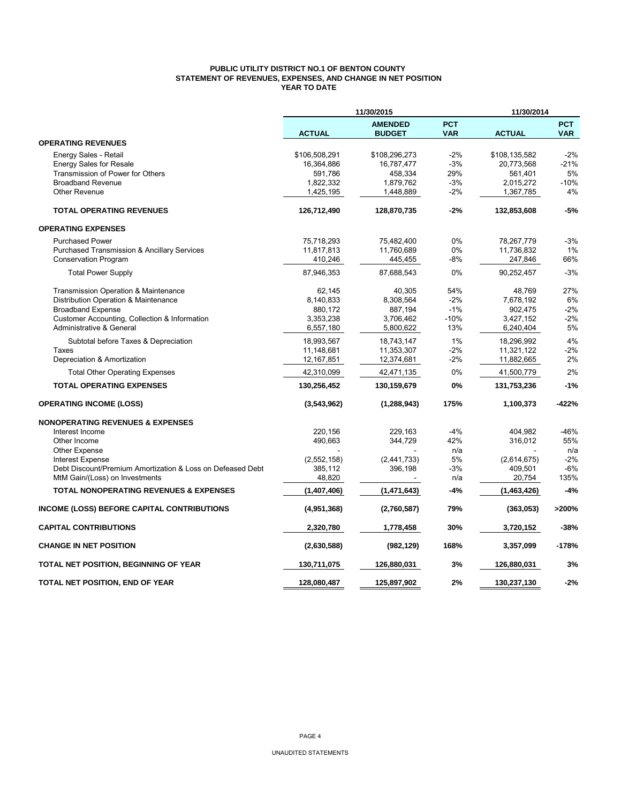## **PUBLIC UTILITY DISTRICT NO.1 OF BENTON COUNTY STATEMENT OF REVENUES, EXPENSES, AND CHANGE IN NET POSITION YEAR TO DATE**

|                                                            |               | 11/30/2015                      |                          | 11/30/2014    |                          |
|------------------------------------------------------------|---------------|---------------------------------|--------------------------|---------------|--------------------------|
|                                                            | <b>ACTUAL</b> | <b>AMENDED</b><br><b>BUDGET</b> | <b>PCT</b><br><b>VAR</b> | <b>ACTUAL</b> | <b>PCT</b><br><b>VAR</b> |
| <b>OPERATING REVENUES</b>                                  |               |                                 |                          |               |                          |
| Energy Sales - Retail                                      | \$106,508,291 | \$108,296,273                   | $-2%$                    | \$108,135,582 | $-2%$                    |
| <b>Energy Sales for Resale</b>                             | 16,364,886    | 16,787,477                      | $-3%$                    | 20,773,568    | $-21%$                   |
| Transmission of Power for Others                           | 591,786       | 458,334                         | 29%                      | 561,401       | 5%                       |
| <b>Broadband Revenue</b>                                   | 1,822,332     | 1,879,762                       | $-3%$                    | 2,015,272     | $-10%$                   |
| <b>Other Revenue</b>                                       | 1,425,195     | 1,448,889                       | $-2%$                    | 1,367,785     | 4%                       |
| <b>TOTAL OPERATING REVENUES</b>                            | 126,712,490   | 128,870,735                     | $-2%$                    | 132,853,608   | $-5%$                    |
| <b>OPERATING EXPENSES</b>                                  |               |                                 |                          |               |                          |
| <b>Purchased Power</b>                                     | 75,718,293    | 75,482,400                      | 0%                       | 78,267,779    | $-3%$                    |
| <b>Purchased Transmission &amp; Ancillary Services</b>     | 11,817,813    | 11,760,689                      | 0%                       | 11,736,832    | 1%                       |
| <b>Conservation Program</b>                                | 410,246       | 445,455                         | -8%                      | 247,846       | 66%                      |
| <b>Total Power Supply</b>                                  | 87,946,353    | 87,688,543                      | 0%                       | 90,252,457    | $-3%$                    |
| Transmission Operation & Maintenance                       | 62,145        | 40,305                          | 54%                      | 48,769        | 27%                      |
| Distribution Operation & Maintenance                       | 8,140,833     | 8,308,564                       | $-2%$                    | 7,678,192     | 6%                       |
| <b>Broadband Expense</b>                                   | 880,172       | 887,194                         | $-1%$                    | 902,475       | $-2%$                    |
| Customer Accounting, Collection & Information              | 3,353,238     | 3,706,462                       | $-10%$                   | 3,427,152     | $-2%$                    |
| <b>Administrative &amp; General</b>                        | 6,557,180     | 5,800,622                       | 13%                      | 6,240,404     | 5%                       |
| Subtotal before Taxes & Depreciation                       | 18,993,567    | 18,743,147                      | 1%                       | 18,296,992    | 4%                       |
| Taxes                                                      | 11,148,681    | 11,353,307                      | $-2%$                    | 11,321,122    | $-2%$                    |
| Depreciation & Amortization                                | 12,167,851    | 12,374,681                      | $-2\%$                   | 11,882,665    | 2%                       |
| <b>Total Other Operating Expenses</b>                      | 42,310,099    | 42,471,135                      | 0%                       | 41,500,779    | 2%                       |
| <b>TOTAL OPERATING EXPENSES</b>                            | 130,256,452   | 130,159,679                     | 0%                       | 131,753,236   | $-1%$                    |
| <b>OPERATING INCOME (LOSS)</b>                             | (3,543,962)   | (1, 288, 943)                   | 175%                     | 1,100,373     | $-422%$                  |
| <b>NONOPERATING REVENUES &amp; EXPENSES</b>                |               |                                 |                          |               |                          |
| Interest Income                                            | 220,156       | 229,163                         | $-4%$                    | 404,982       | $-46%$                   |
| Other Income                                               | 490,663       | 344,729                         | 42%                      | 316,012       | 55%                      |
| <b>Other Expense</b>                                       |               |                                 | n/a                      |               | n/a                      |
| <b>Interest Expense</b>                                    | (2,552,158)   | (2,441,733)                     | 5%                       | (2,614,675)   | $-2%$                    |
| Debt Discount/Premium Amortization & Loss on Defeased Debt | 385,112       | 396,198                         | $-3%$                    | 409,501       | $-6%$                    |
| MtM Gain/(Loss) on Investments                             | 48,820        |                                 | n/a                      | 20,754        | 135%                     |
| <b>TOTAL NONOPERATING REVENUES &amp; EXPENSES</b>          | (1,407,406)   | (1,471,643)                     | $-4%$                    | (1,463,426)   | $-4%$                    |
| <b>INCOME (LOSS) BEFORE CAPITAL CONTRIBUTIONS</b>          | (4,951,368)   | (2,760,587)                     | 79%                      | (363,053)     | >200%                    |
| <b>CAPITAL CONTRIBUTIONS</b>                               | 2,320,780     | 1,778,458                       | 30%                      | 3,720,152     | $-38%$                   |
| <b>CHANGE IN NET POSITION</b>                              | (2,630,588)   | (982, 129)                      | 168%                     | 3,357,099     | $-178%$                  |
| TOTAL NET POSITION, BEGINNING OF YEAR                      | 130,711,075   | 126,880,031                     | 3%                       | 126,880,031   | 3%                       |
| TOTAL NET POSITION, END OF YEAR                            | 128,080,487   | 125,897,902                     | 2%                       | 130,237,130   | $-2%$                    |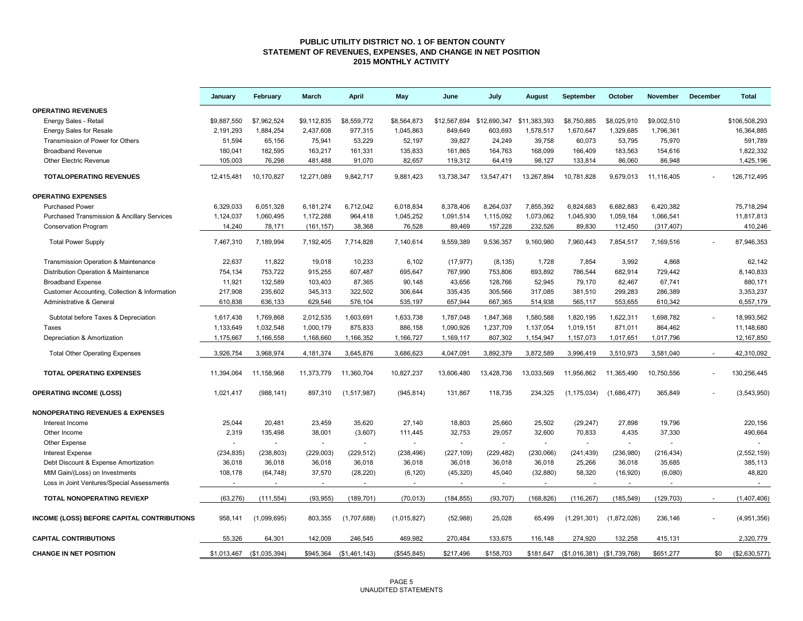#### **PUBLIC UTILITY DISTRICT NO. 1 OF BENTON COUNTY STATEMENT OF REVENUES, EXPENSES, AND CHANGE IN NET POSITION 2015 MONTHLY ACTIVITY**

|                                                        | January     | February      | March                    | <b>April</b>  | May          | June                                   | July       | August     | September                     | October     | November    | December | <b>Total</b>  |
|--------------------------------------------------------|-------------|---------------|--------------------------|---------------|--------------|----------------------------------------|------------|------------|-------------------------------|-------------|-------------|----------|---------------|
| <b>OPERATING REVENUES</b>                              |             |               |                          |               |              |                                        |            |            |                               |             |             |          |               |
| Energy Sales - Retail                                  | \$9,887,550 | \$7,962,524   | \$9,112,835              | \$8,559,772   | \$8,564,873  | \$12,567,694 \$12,690,347 \$11,383,393 |            |            | \$8,750,885                   | \$8,025,910 | \$9,002,510 |          | \$106,508,293 |
| <b>Energy Sales for Resale</b>                         | 2,191,293   | 1,884,254     | 2,437,608                | 977,315       | 1,045,863    | 849,649                                | 603,693    | 1,578,517  | 1,670,647                     | 1,329,685   | 1,796,361   |          | 16,364,885    |
| Transmission of Power for Others                       | 51,594      | 65,156        | 75,941                   | 53,229        | 52,197       | 39,827                                 | 24,249     | 39,758     | 60,073                        | 53,795      | 75,970      |          | 591,789       |
| <b>Broadband Revenue</b>                               | 180,041     | 182,595       | 163,217                  | 161,331       | 135,833      | 161,865                                | 164,763    | 168,099    | 166,409                       | 183,563     | 154,616     |          | 1,822,332     |
| Other Electric Revenue                                 | 105,003     | 76,298        | 481,488                  | 91,070        | 82,657       | 119,312                                | 64,419     | 98,127     | 133,814                       | 86,060      | 86,948      |          | 1,425,196     |
| <b>TOTALOPERATING REVENUES</b>                         | 12.415.481  | 10.170.827    | 12,271,089               | 9,842,717     | 9.881.423    | 13,738,347                             | 13,547,471 | 13,267,894 | 10.781.828                    | 9.679.013   | 11.116.405  |          | 126.712.495   |
| <b>OPERATING EXPENSES</b>                              |             |               |                          |               |              |                                        |            |            |                               |             |             |          |               |
| <b>Purchased Power</b>                                 | 6,329,033   | 6,051,328     | 6,181,274                | 6,712,042     | 6,018,834    | 8,378,406                              | 8,264,037  | 7,855,392  | 6,824,683                     | 6,682,883   | 6,420,382   |          | 75,718,294    |
| <b>Purchased Transmission &amp; Ancillary Services</b> | 1,124,037   | 1,060,495     | 1,172,288                | 964,418       | 1,045,252    | 1,091,514                              | 1,115,092  | 1,073,062  | 1,045,930                     | 1,059,184   | 1,066,541   |          | 11,817,813    |
| <b>Conservation Program</b>                            | 14,240      | 78,171        | (161, 157)               | 38,368        | 76,528       | 89,469                                 | 157,228    | 232,526    | 89,830                        | 112,450     | (317, 407)  |          | 410,246       |
| <b>Total Power Supply</b>                              | 7,467,310   | 7,189,994     | 7,192,405                | 7,714,828     | 7,140,614    | 9,559,389                              | 9,536,357  | 9,160,980  | 7,960,443                     | 7,854,517   | 7,169,516   |          | 87,946,353    |
| Transmission Operation & Maintenance                   | 22,637      | 11,822        | 19,018                   | 10,233        | 6,102        | (17, 977)                              | (8, 135)   | 1,728      | 7,854                         | 3,992       | 4,868       |          | 62,142        |
| Distribution Operation & Maintenance                   | 754,134     | 753,722       | 915,255                  | 607,487       | 695,647      | 767,990                                | 753,806    | 693,892    | 786,544                       | 682,914     | 729,442     |          | 8,140,833     |
| <b>Broadband Expense</b>                               | 11,921      | 132,589       | 103,403                  | 87,365        | 90,148       | 43,656                                 | 128,766    | 52,945     | 79,170                        | 82,467      | 67,741      |          | 880,171       |
| Customer Accounting, Collection & Information          | 217,908     | 235,602       | 345,313                  | 322,502       | 306,644      | 335,435                                | 305,566    | 317,085    | 381,510                       | 299,283     | 286,389     |          | 3,353,237     |
| Administrative & General                               | 610,838     | 636,133       | 629,546                  | 576,104       | 535,197      | 657,944                                | 667,365    | 514,938    | 565,117                       | 553,655     | 610,342     |          | 6,557,179     |
| Subtotal before Taxes & Depreciation                   | 1,617,438   | 1,769,868     | 2,012,535                | 1,603,691     | 1,633,738    | 1,787,048                              | 1,847,368  | 1,580,588  | 1,820,195                     | 1,622,311   | 1,698,782   |          | 18,993,562    |
| Taxes                                                  | 1,133,649   | 1,032,548     | 1,000,179                | 875,833       | 886,158      | 1,090,926                              | 1,237,709  | 1,137,054  | 1,019,151                     | 871,011     | 864,462     |          | 11,148,680    |
| Depreciation & Amortization                            | 1,175,667   | 1,166,558     | 1,168,660                | 1,166,352     | 1,166,727    | 1,169,117                              | 807,302    | 1,154,947  | 1,157,073                     | 1,017,651   | 1,017,796   |          | 12,167,850    |
| <b>Total Other Operating Expenses</b>                  | 3,926,754   | 3,968,974     | 4,181,374                | 3,645,876     | 3,686,623    | 4,047,091                              | 3,892,379  | 3,872,589  | 3,996,419                     | 3,510,973   | 3,581,040   |          | 42,310,092    |
| <b>TOTAL OPERATING EXPENSES</b>                        | 11,394,064  | 11,158,968    | 11,373,779               | 11,360,704    | 10,827,237   | 13,606,480                             | 13,428,736 | 13,033,569 | 11,956,862                    | 11,365,490  | 10,750,556  |          | 130,256,445   |
| <b>OPERATING INCOME (LOSS)</b>                         | 1,021,417   | (988, 141)    | 897,310                  | (1,517,987)   | (945, 814)   | 131,867                                | 118,735    | 234,325    | (1, 175, 034)                 | (1,686,477) | 365,849     |          | (3,543,950)   |
| <b>NONOPERATING REVENUES &amp; EXPENSES</b>            |             |               |                          |               |              |                                        |            |            |                               |             |             |          |               |
| Interest Income                                        | 25,044      | 20,481        | 23,459                   | 35,620        | 27,140       | 18,803                                 | 25,660     | 25,502     | (29, 247)                     | 27,898      | 19,796      |          | 220,156       |
| Other Income                                           | 2,319       | 135,498       | 38,001                   | (3,607)       | 111,445      | 32,753                                 | 29.057     | 32,600     | 70,833                        | 4,435       | 37,330      |          | 490,664       |
| Other Expense                                          |             |               | $\sim$                   | $\sim$        |              | $\sim$                                 |            | $\sim$     |                               | $\sim$      |             |          |               |
| <b>Interest Expense</b>                                | (234, 835)  | (238, 803)    | (229,003)                | (229, 512)    | (238, 496)   | (227, 109)                             | (229, 482) | (230,066)  | (241, 439)                    | (236,980)   | (216, 434)  |          | (2, 552, 159) |
| Debt Discount & Expense Amortization                   | 36,018      | 36,018        | 36,018                   | 36,018        | 36,018       | 36,018                                 | 36,018     | 36,018     | 25,266                        | 36,018      | 35,685      |          | 385,113       |
| MtM Gain/(Loss) on Investments                         | 108,178     | (64, 748)     | 37,570                   | (28, 220)     | (6, 120)     | (45, 320)                              | 45,040     | (32, 880)  | 58,320                        | (16,920)    | (6,080)     |          | 48,820        |
| Loss in Joint Ventures/Special Assessments             |             | $\sim$        | $\overline{\phantom{a}}$ | $\sim$        | $\sim$       | $\sim$                                 | $\sim$     | $\sim$     | $\sim$                        | $\sim$      | $\sim$      |          | $\sim$        |
| <b>TOTAL NONOPERATING REV/EXP</b>                      | (63, 276)   | (111, 554)    | (93, 955)                | (189, 701)    | (70, 013)    | (184, 855)                             | (93, 707)  | (168, 826) | (116, 267)                    | (185, 549)  | (129, 703)  |          | (1,407,406)   |
| INCOME (LOSS) BEFORE CAPITAL CONTRIBUTIONS             | 958,141     | (1,099,695)   | 803,355                  | (1,707,688)   | (1,015,827)  | (52,988)                               | 25,028     | 65,499     | (1,291,301)                   | (1,872,026) | 236,146     |          | (4,951,356)   |
| <b>CAPITAL CONTRIBUTIONS</b>                           | 55,326      | 64,301        | 142.009                  | 246,545       | 469,982      | 270,484                                | 133,675    | 116,148    | 274,920                       | 132,258     | 415,131     |          | 2,320,779     |
| <b>CHANGE IN NET POSITION</b>                          | \$1,013,467 | (\$1,035,394) | \$945,364                | (\$1,461,143) | (\$545, 845) | \$217,496                              | \$158,703  | \$181,647  | $($1,016,381)$ $($1,739,768)$ |             | \$651,277   | \$0      | (\$2,630,577) |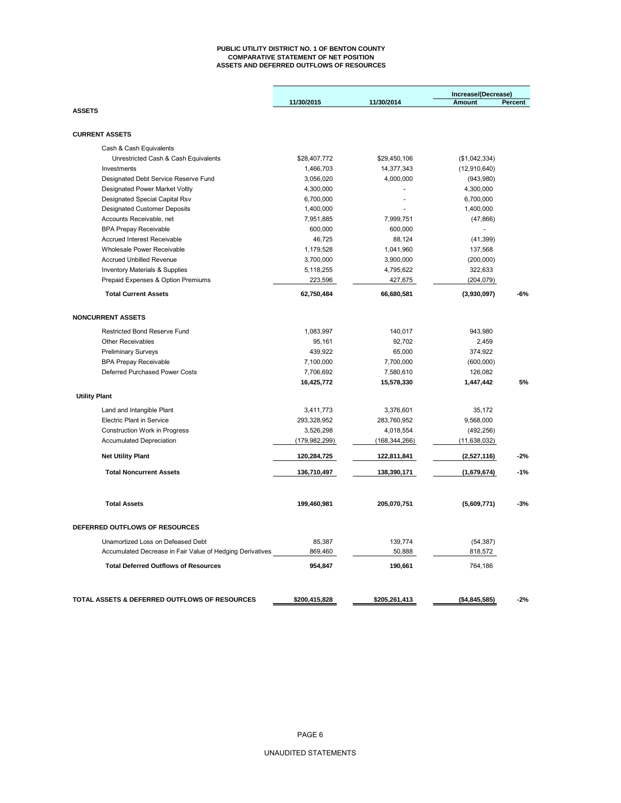#### **PUBLIC UTILITY DISTRICT NO. 1 OF BENTON COUNTY COMPARATIVE STATEMENT OF NET POSITION ASSETS AND DEFERRED OUTFLOWS OF RESOURCES**

|                                                           |               |                 | Increase/(Decrease) |         |
|-----------------------------------------------------------|---------------|-----------------|---------------------|---------|
|                                                           | 11/30/2015    | 11/30/2014      | <b>Amount</b>       | Percent |
| <b>ASSETS</b>                                             |               |                 |                     |         |
| <b>CURRENT ASSETS</b>                                     |               |                 |                     |         |
| Cash & Cash Equivalents                                   |               |                 |                     |         |
| Unrestricted Cash & Cash Equivalents                      | \$28,407,772  | \$29,450,106    | (\$1,042,334)       |         |
| Investments                                               | 1,466,703     | 14,377,343      | (12, 910, 640)      |         |
| Designated Debt Service Reserve Fund                      | 3,056,020     | 4,000,000       | (943,980)           |         |
| Designated Power Market Voltly                            | 4,300,000     |                 | 4,300,000           |         |
| Designated Special Capital Rsv                            | 6,700,000     |                 | 6,700,000           |         |
| <b>Designated Customer Deposits</b>                       | 1,400,000     |                 | 1,400,000           |         |
| Accounts Receivable, net                                  | 7,951,885     | 7,999,751       | (47, 866)           |         |
| <b>BPA Prepay Receivable</b>                              | 600,000       | 600,000         |                     |         |
| <b>Accrued Interest Receivable</b>                        | 46,725        | 88,124          | (41, 399)           |         |
| Wholesale Power Receivable                                | 1,179,528     | 1,041,960       | 137,568             |         |
| <b>Accrued Unbilled Revenue</b>                           | 3,700,000     | 3,900,000       | (200,000)           |         |
| <b>Inventory Materials &amp; Supplies</b>                 | 5,118,255     | 4,795,622       | 322,633             |         |
| Prepaid Expenses & Option Premiums                        | 223,596       | 427,675         | (204, 079)          |         |
| <b>Total Current Assets</b>                               | 62,750,484    | 66,680,581      | (3,930,097)         | $-6%$   |
| <b>NONCURRENT ASSETS</b>                                  |               |                 |                     |         |
| <b>Restricted Bond Reserve Fund</b>                       | 1,083,997     | 140,017         | 943,980             |         |
| Other Receivables                                         | 95,161        | 92,702          | 2,459               |         |
| <b>Preliminary Surveys</b>                                | 439,922       | 65,000          | 374,922             |         |
| <b>BPA Prepay Receivable</b>                              | 7,100,000     | 7,700,000       | (600,000)           |         |
| Deferred Purchased Power Costs                            | 7,706,692     | 7,580,610       | 126,082             |         |
|                                                           | 16,425,772    | 15,578,330      | 1,447,442           | 5%      |
| <b>Utility Plant</b>                                      |               |                 |                     |         |
|                                                           |               |                 |                     |         |
| Land and Intangible Plant                                 | 3,411,773     | 3,376,601       | 35,172              |         |
| <b>Electric Plant in Service</b>                          | 293,328,952   | 283,760,952     | 9,568,000           |         |
| Construction Work in Progress                             | 3,526,298     | 4,018,554       | (492, 256)          |         |
| <b>Accumulated Depreciation</b>                           | (179,982,299) | (168, 344, 266) | (11, 638, 032)      |         |
| <b>Net Utility Plant</b>                                  | 120,284,725   | 122,811,841     | (2,527,116)         | $-2%$   |
| <b>Total Noncurrent Assets</b>                            | 136,710,497   | 138,390,171     | (1,679,674)         | $-1%$   |
| <b>Total Assets</b>                                       | 199,460,981   | 205,070,751     | (5,609,771)         | $-3%$   |
|                                                           |               |                 |                     |         |
| DEFERRED OUTFLOWS OF RESOURCES                            |               |                 |                     |         |
| Unamortized Loss on Defeased Debt                         | 85,387        | 139,774         | (54, 387)           |         |
| Accumulated Decrease in Fair Value of Hedging Derivatives | 869,460       | 50,888          | 818,572             |         |
| <b>Total Deferred Outflows of Resources</b>               | 954,847       | 190,661         | 764,186             |         |
|                                                           |               |                 |                     |         |
| TOTAL ASSETS & DEFERRED OUTFLOWS OF RESOURCES             | \$200,415,828 | \$205,261,413   | ( \$4,845,585)      | $-2%$   |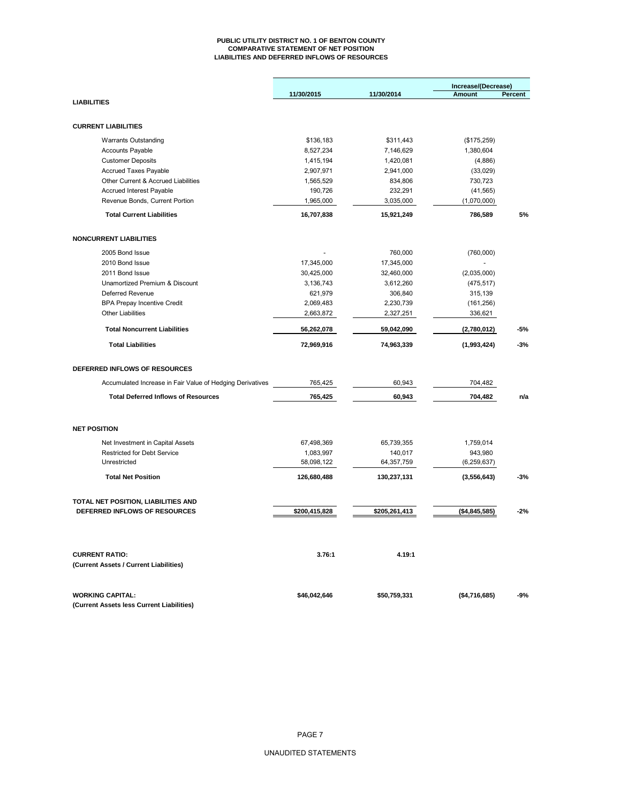#### **PUBLIC UTILITY DISTRICT NO. 1 OF BENTON COUNTY COMPARATIVE STATEMENT OF NET POSITION LIABILITIES AND DEFERRED INFLOWS OF RESOURCES**

|                                                                 | 11/30/2015    | 11/30/2014    | Increase/(Decrease)<br>Amount | Percent |
|-----------------------------------------------------------------|---------------|---------------|-------------------------------|---------|
| <b>LIABILITIES</b>                                              |               |               |                               |         |
| <b>CURRENT LIABILITIES</b>                                      |               |               |                               |         |
| <b>Warrants Outstanding</b>                                     | \$136,183     | \$311,443     | (\$175,259)                   |         |
| <b>Accounts Payable</b>                                         | 8,527,234     | 7,146,629     | 1,380,604                     |         |
| <b>Customer Deposits</b>                                        | 1,415,194     | 1,420,081     | (4,886)                       |         |
| Accrued Taxes Payable                                           | 2,907,971     | 2,941,000     | (33,029)                      |         |
| Other Current & Accrued Liabilities                             | 1,565,529     | 834,806       | 730,723                       |         |
| <b>Accrued Interest Payable</b>                                 | 190,726       | 232,291       | (41, 565)                     |         |
| Revenue Bonds, Current Portion                                  | 1,965,000     | 3,035,000     | (1,070,000)                   |         |
| <b>Total Current Liabilities</b>                                | 16,707,838    | 15,921,249    | 786,589                       | 5%      |
| <b>NONCURRENT LIABILITIES</b>                                   |               |               |                               |         |
|                                                                 |               |               |                               |         |
| 2005 Bond Issue                                                 |               | 760,000       | (760,000)                     |         |
| 2010 Bond Issue                                                 | 17,345,000    | 17,345,000    |                               |         |
| 2011 Bond Issue                                                 | 30,425,000    | 32,460,000    | (2,035,000)                   |         |
| Unamortized Premium & Discount                                  | 3,136,743     | 3,612,260     | (475, 517)                    |         |
| <b>Deferred Revenue</b>                                         | 621,979       | 306,840       | 315,139                       |         |
| <b>BPA Prepay Incentive Credit</b>                              | 2,069,483     | 2,230,739     | (161, 256)                    |         |
| <b>Other Liabilities</b>                                        | 2,663,872     | 2,327,251     | 336,621                       |         |
| <b>Total Noncurrent Liabilities</b>                             | 56,262,078    | 59,042,090    | (2,780,012)                   | -5%     |
| <b>Total Liabilities</b>                                        | 72,969,916    | 74,963,339    | (1,993,424)                   | $-3%$   |
| DEFERRED INFLOWS OF RESOURCES                                   |               |               |                               |         |
| Accumulated Increase in Fair Value of Hedging Derivatives       | 765,425       | 60,943        | 704,482                       |         |
| <b>Total Deferred Inflows of Resources</b>                      | 765,425       | 60,943        | 704,482                       | n/a     |
| <b>NET POSITION</b>                                             |               |               |                               |         |
| Net Investment in Capital Assets                                | 67,498,369    | 65,739,355    | 1,759,014                     |         |
| <b>Restricted for Debt Service</b>                              | 1,083,997     | 140,017       | 943,980                       |         |
| Unrestricted                                                    | 58,098,122    | 64,357,759    | (6, 259, 637)                 |         |
| <b>Total Net Position</b>                                       | 126,680,488   | 130,237,131   | (3,556,643)                   | $-3%$   |
| TOTAL NET POSITION, LIABILITIES AND                             |               |               |                               |         |
| DEFERRED INFLOWS OF RESOURCES                                   | \$200,415,828 | \$205,261,413 | (\$4,845,585)                 | $-2%$   |
|                                                                 |               |               |                               |         |
| <b>CURRENT RATIO:</b><br>(Current Assets / Current Liabilities) | 3.76:1        | 4.19:1        |                               |         |
|                                                                 |               |               |                               |         |
| <b>WORKING CAPITAL:</b>                                         | \$46,042,646  | \$50,759,331  | (\$4,716,685)                 | $-9%$   |
| (Current Assets less Current Liabilities)                       |               |               |                               |         |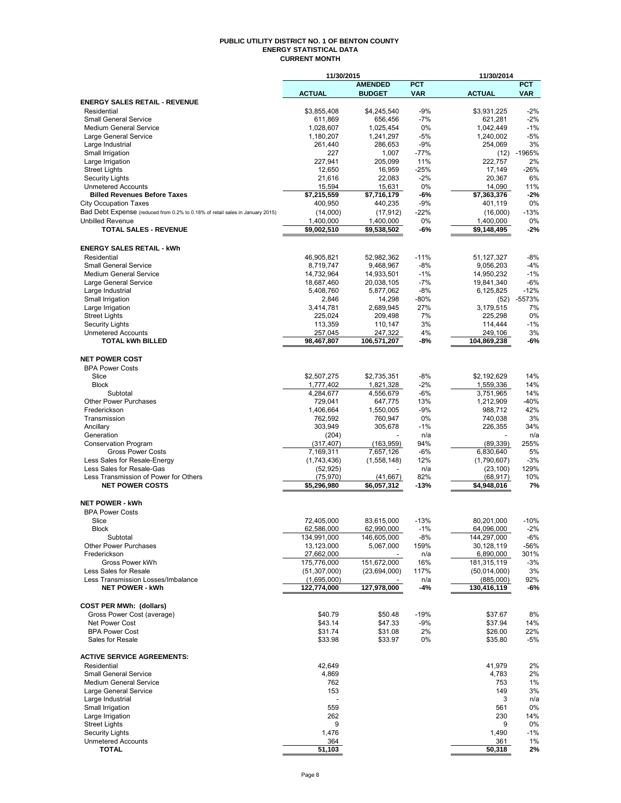#### **PUBLIC UTILITY DISTRICT NO. 1 OF BENTON COUNTY ENERGY STATISTICAL DATA CURRENT MONTH**

|                                                                               | 11/30/2015                    |                          |              | 11/30/2014               |               |
|-------------------------------------------------------------------------------|-------------------------------|--------------------------|--------------|--------------------------|---------------|
|                                                                               |                               | <b>AMENDED</b>           | <b>PCT</b>   |                          | <b>PCT</b>    |
| <b>ENERGY SALES RETAIL - REVENUE</b>                                          | <b>ACTUAL</b>                 | <b>BUDGET</b>            | <b>VAR</b>   | <b>ACTUAL</b>            | <b>VAR</b>    |
| Residential                                                                   | \$3,855,408                   | \$4,245,540              | $-9%$        | \$3.931.225              | $-2%$         |
| <b>Small General Service</b>                                                  | 611,869                       | 656,456                  | $-7%$        | 621,281                  | $-2%$         |
| <b>Medium General Service</b>                                                 | 1,028,607                     | 1,025,454                | 0%           | 1,042,449                | $-1%$         |
| Large General Service                                                         | 1,180,207                     | 1,241,297                | $-5%$        | 1,240,002                | $-5%$         |
| Large Industrial                                                              | 261,440                       | 286,653                  | $-9%$        | 254,069                  | 3%            |
| Small Irrigation                                                              | 227                           | 1,007                    | $-77%$       | (12)                     | -1965%        |
| Large Irrigation                                                              | 227,941                       | 205,099                  | 11%          | 222,757                  | 2%            |
| <b>Street Lights</b>                                                          | 12,650                        | 16,959                   | $-25%$       | 17,149                   | $-26%$        |
| <b>Security Lights</b>                                                        | 21,616                        | 22,083                   | $-2%$        | 20,367                   | 6%            |
| <b>Unmetered Accounts</b><br><b>Billed Revenues Before Taxes</b>              | 15,594<br>\$7,215,559         | 15,631<br>\$7,716,179    | 0%<br>$-6%$  | 14,090<br>\$7,363,376    | 11%<br>$-2%$  |
| <b>City Occupation Taxes</b>                                                  | 400,950                       | 440,235                  | $-9%$        | 401,119                  | 0%            |
| Bad Debt Expense (reduced from 0.2% to 0.18% of retail sales in January 2015) | (14,000)                      | (17, 912)                | $-22%$       | (16,000)                 | $-13%$        |
| <b>Unbilled Revenue</b>                                                       | 1,400,000                     | 1,400,000                | 0%           | 1,400,000                | 0%            |
| <b>TOTAL SALES - REVENUE</b>                                                  | \$9,002,510                   | \$9,538,502              | $-6%$        | \$9,148,495              | $-2%$         |
|                                                                               |                               |                          |              |                          |               |
| <b>ENERGY SALES RETAIL - kWh</b>                                              |                               |                          |              |                          |               |
| Residential                                                                   | 46,905,821                    | 52,982,362               | $-11%$       | 51, 127, 327             | $-8%$         |
| Small General Service                                                         | 8,719,747                     | 9,468,967                | $-8%$        | 9,056,203                | $-4%$         |
| <b>Medium General Service</b>                                                 | 14,732,964                    | 14,933,501               | $-1%$        | 14,950,232               | $-1%$         |
| Large General Service                                                         | 18,687,460                    | 20,038,105               | $-7%$        | 19,841,340               | $-6%$         |
| Large Industrial                                                              | 5,408,760                     | 5,877,062                | $-8%$        | 6,125,825                | $-12%$        |
| Small Irrigation                                                              | 2,846                         | 14,298                   | $-80%$       | (52)                     | $-5573%$      |
| Large Irrigation                                                              | 3,414,781                     | 2,689,945                | 27%          | 3,179,515                | 7%            |
| <b>Street Lights</b>                                                          | 225,024                       | 209,498                  | 7%           | 225,298                  | 0%            |
| <b>Security Lights</b>                                                        | 113,359                       | 110,147                  | 3%           | 114,444                  | $-1%$         |
| <b>Unmetered Accounts</b><br><b>TOTAL kWh BILLED</b>                          | 257,045<br>98,467,807         | 247,322                  | 4%<br>-8%    | 249,106                  | 3%<br>-6%     |
|                                                                               |                               | 106,571,207              |              | 104,869,238              |               |
| <b>NET POWER COST</b>                                                         |                               |                          |              |                          |               |
| <b>BPA Power Costs</b>                                                        |                               |                          |              |                          |               |
| Slice                                                                         | \$2,507,275                   | \$2,735,351              | -8%          | \$2,192,629              | 14%           |
| <b>Block</b>                                                                  | 1,777,402                     | 1,821,328                | $-2%$        | 1,559,336                | 14%           |
| Subtotal                                                                      | 4,284,677                     | 4,556,679                | $-6%$        | 3,751,965                | 14%           |
| Other Power Purchases                                                         | 729,041                       | 647,775                  | 13%          | 1,212,909                | $-40%$        |
| Frederickson                                                                  | 1,406,664                     | 1,550,005                | $-9%$        | 988,712                  | 42%           |
| Transmission                                                                  | 762,592                       | 760,947                  | 0%           | 740,038                  | 3%            |
| Ancillary                                                                     | 303,949                       | 305,678                  | $-1\%$       | 226,355                  | 34%           |
| Generation                                                                    | (204)                         |                          | n/a          |                          | n/a           |
| Conservation Program                                                          | (317, 407)                    | (163, 959)               | 94%          | (89, 339)                | 255%          |
| <b>Gross Power Costs</b><br>Less Sales for Resale-Energy                      | 7,169,311<br>(1,743,436)      | 7,657,126<br>(1,558,148) | $-6%$<br>12% | 6,830,640<br>(1,790,607) | 5%<br>$-3%$   |
| Less Sales for Resale-Gas                                                     | (52, 925)                     |                          | n/a          | (23, 100)                | 129%          |
| Less Transmission of Power for Others                                         | (75, 970)                     | (41, 667)                | 82%          | (68, 917)                | 10%           |
| <b>NET POWER COSTS</b>                                                        | \$5,296,980                   | \$6,057,312              | $-13%$       | \$4,948,016              | 7%            |
|                                                                               |                               |                          |              |                          |               |
| <b>NET POWER - kWh</b>                                                        |                               |                          |              |                          |               |
| <b>BPA Power Costs</b>                                                        |                               |                          |              |                          |               |
| Slice                                                                         | 72,405,000                    | 83,615,000               | $-13%$       | 80,201,000               | $-10%$        |
| <b>Block</b>                                                                  | 62,586,000                    | 62,990,000               | $-1\%$       | 64,096,000               | $-2\%$        |
| Subtotal                                                                      | 134,991,000                   | 146,605,000              | -8%          | 144,297,000              | -6%           |
| Other Power Purchases                                                         | 13,123,000                    | 5,067,000                | 159%         | 30,128,119               | -56%          |
| Frederickson<br>Gross Power kWh                                               | 27,662,000                    | 151,672,000              | n/a          | 6,890,000<br>181,315,119 | 301%<br>$-3%$ |
| Less Sales for Resale                                                         | 175,776,000<br>(51, 307, 000) | (23,694,000)             | 16%<br>117%  | (50,014,000)             | 3%            |
| Less Transmission Losses/Imbalance                                            | (1,695,000)                   |                          | n/a          | (885,000)                | 92%           |
| <b>NET POWER - kWh</b>                                                        | 122,774,000                   | 127,978,000              | -4%          | 130,416,119              | -6%           |
|                                                                               |                               |                          |              |                          |               |
| <b>COST PER MWh: (dollars)</b>                                                |                               |                          |              |                          |               |
| Gross Power Cost (average)                                                    | \$40.79                       | \$50.48                  | $-19%$       | \$37.67                  | 8%            |
| Net Power Cost                                                                | \$43.14                       | \$47.33                  | $-9%$        | \$37.94                  | 14%           |
| <b>BPA Power Cost</b>                                                         | \$31.74                       | \$31.08                  | 2%           | \$26.00                  | 22%           |
| Sales for Resale                                                              | \$33.98                       | \$33.97                  | 0%           | \$35.80                  | -5%           |
|                                                                               |                               |                          |              |                          |               |
| <b>ACTIVE SERVICE AGREEMENTS:</b>                                             |                               |                          |              |                          |               |
| Residential<br><b>Small General Service</b>                                   | 42,649<br>4,869               |                          |              | 41,979<br>4,783          | 2%<br>2%      |
| <b>Medium General Service</b>                                                 | 762                           |                          |              | 753                      | 1%            |
| Large General Service                                                         | 153                           |                          |              | 149                      | 3%            |
| Large Industrial                                                              |                               |                          |              | 3                        | n/a           |
| Small Irrigation                                                              | 559                           |                          |              | 561                      | 0%            |
| Large Irrigation                                                              | 262                           |                          |              | 230                      | 14%           |
| <b>Street Lights</b>                                                          | 9                             |                          |              | 9                        | 0%            |
| <b>Security Lights</b>                                                        | 1,476                         |                          |              | 1,490                    | $-1%$         |
| <b>Unmetered Accounts</b>                                                     | 364                           |                          |              | 361                      | 1%            |
| <b>TOTAL</b>                                                                  | $\overline{5}$ 1,103          |                          |              | 50,318                   | 2%            |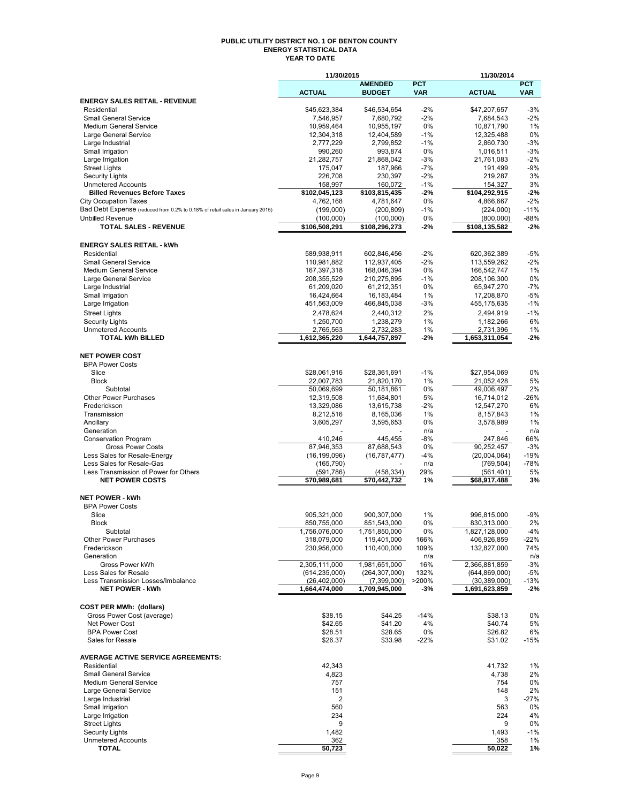### **PUBLIC UTILITY DISTRICT NO. 1 OF BENTON COUNTY ENERGY STATISTICAL DATA YEAR TO DATE**

|                                                                               | 11/30/2015                 |                              |                | 11/30/2014                 |              |
|-------------------------------------------------------------------------------|----------------------------|------------------------------|----------------|----------------------------|--------------|
|                                                                               |                            | <b>AMENDED</b>               | <b>PCT</b>     |                            | <b>PCT</b>   |
|                                                                               | <b>ACTUAL</b>              | <b>BUDGET</b>                | <b>VAR</b>     | <b>ACTUAL</b>              | <b>VAR</b>   |
| <b>ENERGY SALES RETAIL - REVENUE</b><br>Residential                           | \$45,623,384               |                              | $-2%$          | \$47,207,657               | $-3%$        |
| Small General Service                                                         | 7,546,957                  | \$46,534,654<br>7,680,792    | $-2%$          | 7,684,543                  | $-2%$        |
| <b>Medium General Service</b>                                                 | 10,959,464                 | 10,955,197                   | 0%             | 10,871,790                 | 1%           |
| Large General Service                                                         | 12,304,318                 | 12,404,589                   | $-1%$          | 12,325,488                 | 0%           |
| Large Industrial                                                              | 2,777,229                  | 2,799,852                    | $-1%$          | 2,860,730                  | $-3%$        |
| Small Irrigation                                                              | 990,260                    | 993,874                      | 0%             | 1,016,511                  | $-3%$        |
| Large Irrigation                                                              | 21,282,757                 | 21,868,042                   | -3%            | 21,761,083                 | $-2%$        |
| <b>Street Lights</b>                                                          | 175,047                    | 187,966                      | $-7%$          | 191,499                    | $-9%$        |
| <b>Security Lights</b>                                                        | 226,708                    | 230,397                      | $-2%$          | 219,287                    | 3%           |
| <b>Unmetered Accounts</b><br><b>Billed Revenues Before Taxes</b>              | 158,997<br>\$102,045,123   | 160,072<br>\$103,815,435     | $-1%$<br>$-2%$ | 154,327<br>\$104,292,915   | 3%<br>$-2%$  |
| <b>City Occupation Taxes</b>                                                  | 4,762,168                  | 4,781,647                    | 0%             | 4,866,667                  | $-2%$        |
| Bad Debt Expense (reduced from 0.2% to 0.18% of retail sales in January 2015) | (199,000)                  | (200, 809)                   | $-1%$          | (224,000)                  | $-11%$       |
| <b>Unbilled Revenue</b>                                                       | (100.000)                  | (100,000)                    | 0%             | (800,000)                  | $-88%$       |
| <b>TOTAL SALES - REVENUE</b>                                                  | \$106,508,291              | \$108,296,273                | -2%            | \$108,135,582              | $-2%$        |
|                                                                               |                            |                              |                |                            |              |
| <b>ENERGY SALES RETAIL - kWh</b>                                              |                            |                              |                |                            |              |
| Residential                                                                   | 589,938,911                | 602,846,456                  | $-2%$          | 620,362,389                | $-5%$        |
| <b>Small General Service</b>                                                  | 110,981,882                | 112,937,405                  | $-2%$          | 113,559,262                | $-2%$        |
| <b>Medium General Service</b>                                                 | 167,397,318                | 168,046,394                  | 0%             | 166,542,747                | 1%           |
| Large General Service                                                         | 208,355,529                | 210,275,895                  | $-1%$          | 208,106,300                | 0%           |
| Large Industrial                                                              | 61,209,020                 | 61,212,351                   | 0%             | 65,947,270                 | $-7%$        |
| Small Irrigation                                                              | 16,424,664                 | 16,183,484                   | 1%             | 17,208,870                 | $-5%$        |
| Large Irrigation                                                              | 451,563,009                | 466,845,038                  | $-3%$          | 455,175,635                | $-1%$        |
| <b>Street Lights</b>                                                          | 2,478,624                  | 2,440,312                    | 2%             | 2,494,919                  | $-1%$        |
| <b>Security Lights</b>                                                        | 1,250,700                  | 1,238,279                    | 1%             | 1,182,266                  | 6%           |
| <b>Unmetered Accounts</b><br><b>TOTAL kWh BILLED</b>                          | 2,765,563<br>1,612,365,220 | 2,732,283<br>1,644,757,897   | 1%<br>$-2%$    | 2,731,396<br>1,653,311,054 | 1%<br>$-2%$  |
|                                                                               |                            |                              |                |                            |              |
| <b>NET POWER COST</b>                                                         |                            |                              |                |                            |              |
| <b>BPA Power Costs</b>                                                        |                            |                              |                |                            |              |
| Slice                                                                         | \$28,061,916               | \$28,361,691                 | $-1%$          | \$27,954,069               | 0%           |
| <b>Block</b>                                                                  | 22,007,783                 | 21,820,170                   | 1%             | 21,052,428                 | 5%           |
| Subtotal                                                                      | 50,069,699                 | 50,181,861                   | 0%             | 49,006,497                 | 2%           |
| <b>Other Power Purchases</b>                                                  | 12,319,508                 | 11,684,801                   | 5%             | 16,714,012                 | $-26%$       |
| Frederickson                                                                  | 13,329,086                 | 13,615,738                   | -2%            | 12,547,270                 | 6%           |
| Transmission                                                                  | 8,212,516                  | 8,165,036                    | 1%             | 8,157,843                  | 1%           |
| Ancillary                                                                     | 3,605,297                  | 3,595,653                    | 0%             | 3,578,989                  | 1%           |
| Generation<br><b>Conservation Program</b>                                     | 410,246                    | 445,455                      | n/a<br>$-8%$   | 247,846                    | n/a<br>66%   |
| <b>Gross Power Costs</b>                                                      | 87,946,353                 | 87,688,543                   | 0%             | 90,252,457                 | $-3%$        |
| Less Sales for Resale-Energy                                                  | (16, 199, 096)             | (16,787,477)                 | -4%            | (20,004,064)               | $-19%$       |
| Less Sales for Resale-Gas                                                     | (165, 790)                 |                              | n/a            | (769, 504)                 | $-78%$       |
| Less Transmission of Power for Others                                         | (591, 786)                 | (458, 334)                   | 29%            | (561, 401)                 | 5%           |
| <b>NET POWER COSTS</b>                                                        | \$70,989,681               | \$70,442,732                 | 1%             | \$68,917,488               | 3%           |
|                                                                               |                            |                              |                |                            |              |
| <b>NET POWER - kWh</b>                                                        |                            |                              |                |                            |              |
| <b>BPA Power Costs</b>                                                        |                            |                              |                |                            |              |
| Slice                                                                         | 905,321,000                | 900.307.000                  | 1%             | 996,815,000                | $-9%$        |
| <b>Block</b>                                                                  | 850,755,000                | 851,543,000                  | 0%             | 830,313,000                | 2%           |
| Subtotal                                                                      | 1,756,076,000              | 1,751,850,000<br>119,401,000 | 0%             | 1,827,128,000              | $-4%$        |
| <b>Other Power Purchases</b><br>Frederickson                                  | 318,079,000<br>230,956,000 | 110,400,000                  | 166%<br>109%   | 406,926,859<br>132,827,000 | -22%<br>74%  |
| Generation                                                                    |                            |                              | n/a            |                            | n/a          |
| Gross Power kWh                                                               | 2,305,111,000              | 1,981,651,000                | 16%            | 2,366,881,859              | $-3%$        |
| Less Sales for Resale                                                         | (614, 235, 000)            | (264, 307, 000)              | 132%           | (644, 869, 000)            | $-5%$        |
| Less Transmission Losses/Imbalance                                            | (26, 402, 000)             | (7,399,000)                  | >200%          | (30, 389, 000)             | -13%         |
| <b>NET POWER - kWh</b>                                                        | 1,664,474,000              | 1,709,945,000                | $-3%$          | 1,691,623,859              | $-2%$        |
|                                                                               |                            |                              |                |                            |              |
| <b>COST PER MWh: (dollars)</b>                                                |                            |                              |                |                            |              |
| Gross Power Cost (average)                                                    | \$38.15                    | \$44.25                      | $-14%$         | \$38.13                    | 0%           |
| <b>Net Power Cost</b><br><b>BPA Power Cost</b>                                | \$42.65                    | \$41.20                      | 4%             | \$40.74                    | 5%           |
| Sales for Resale                                                              | \$28.51<br>\$26.37         | \$28.65<br>\$33.98           | 0%<br>$-22%$   | \$26.82<br>\$31.02         | 6%<br>$-15%$ |
|                                                                               |                            |                              |                |                            |              |
| <b>AVERAGE ACTIVE SERVICE AGREEMENTS:</b>                                     |                            |                              |                |                            |              |
| Residential                                                                   | 42,343                     |                              |                | 41,732                     | 1%           |
| <b>Small General Service</b>                                                  | 4,823                      |                              |                | 4,738                      | 2%           |
| <b>Medium General Service</b>                                                 | 757                        |                              |                | 754                        | 0%           |
| Large General Service                                                         | 151                        |                              |                | 148                        | 2%           |
| Large Industrial                                                              | 2                          |                              |                | 3                          | -27%         |
| Small Irrigation                                                              | 560                        |                              |                | 563                        | 0%           |
| Large Irrigation                                                              | 234<br>9                   |                              |                | 224<br>9                   | 4%           |
| <b>Street Lights</b><br><b>Security Lights</b>                                | 1,482                      |                              |                | 1,493                      | 0%<br>$-1%$  |
| <b>Unmetered Accounts</b>                                                     | 362                        |                              |                | 358                        | 1%           |
| <b>TOTAL</b>                                                                  | 50,723                     |                              |                | 50,022                     | 1%           |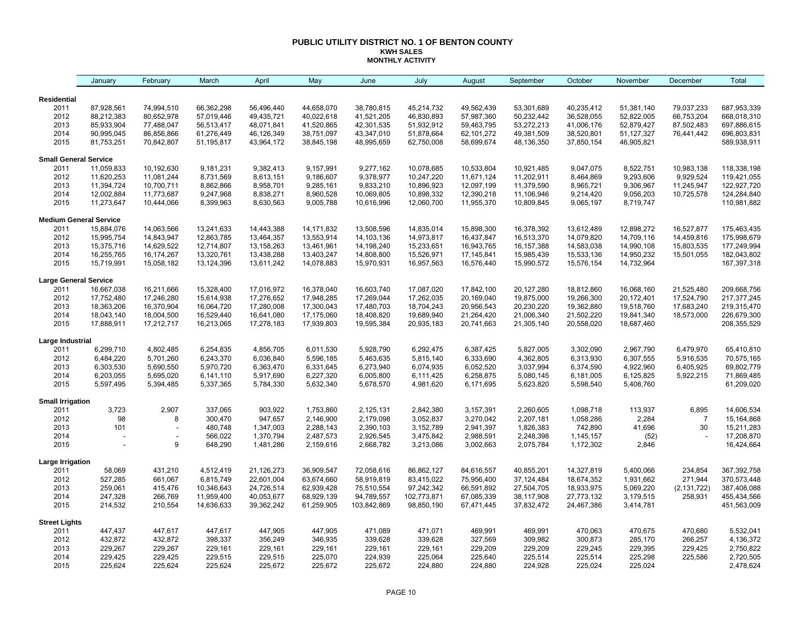#### **PUBLIC UTILITY DISTRICT NO. 1 OF BENTON COUNTY KWH SALES MONTHLY ACTIVITY**

|                                 | January                       | February               | March                  | April                  | May                    | June                   | July                   | August                 | September              | October                | November               | December       | Total                    |
|---------------------------------|-------------------------------|------------------------|------------------------|------------------------|------------------------|------------------------|------------------------|------------------------|------------------------|------------------------|------------------------|----------------|--------------------------|
| <b>Residential</b>              |                               |                        |                        |                        |                        |                        |                        |                        |                        |                        |                        |                |                          |
| 2011                            | 87,928,561                    | 74,994,510             | 66,362,298             | 56,496,440             | 44,658,070             | 38.780.815             | 45,214,732             | 49,562,439             | 53,301,689             | 40,235,412             | 51,381,140             | 79,037,233     | 687,953,339              |
| 2012                            | 88,212,383                    | 80,652,978             | 57,019,446             | 49,435,721             | 40,022,618             | 41,521,205             | 46,830,893             | 57,987,360             | 50,232,442             | 36,528,055             | 52,822,005             | 66,753,204     | 668,018,310              |
| 2013                            | 85,933,904                    | 77,488,047             | 56,513,417             | 48,071,841             | 41,520,865             | 42,301,535             | 51,932,912             | 59,463,795             | 53,272,213             | 41,006,176             | 52,879,427             | 87,502,483     | 697,886,615              |
| 2014                            | 90,995,045                    | 86,856,866             | 61,276,449             | 46,126,349             | 38,751,097             | 43,347,010             | 51,878,664             | 62,101,272             | 49,381,509             | 38,520,801             | 51,127,327             | 76,441,442     | 696,803,831              |
| 2015                            | 81,753,251                    | 70,842,807             | 51,195,817             | 43,964,172             | 38,845,198             | 48,995,659             | 62,750,008             | 58,699,674             | 48,136,350             | 37,850,154             | 46,905,821             |                | 589,938,911              |
| <b>Small General Service</b>    |                               |                        |                        |                        |                        |                        |                        |                        |                        |                        |                        |                |                          |
| 2011                            | 11,059,833                    | 10,192,630             | 9,181,231              | 9,382,413              | 9,157,991              | 9,277,162              | 10,078,685             | 10,533,804             | 10,921,485             | 9,047,075              | 8,522,751              | 10,983,138     | 118,338,198              |
| 2012                            | 11,620,253                    | 11,081,244             | 8,731,569              | 8,613,151              | 9,186,607              | 9,378,977              | 10,247,220             | 11,671,124             | 11,202,911             | 8,464,869              | 9,293,606              | 9,929,524      | 119,421,055              |
| 2013                            | 11,394,724                    | 10,700,711             | 8,862,866              | 8,958,701              | 9,285,161              | 9,833,210              | 10,896,923             | 12,097,199             | 11,379,590             | 8,965,721              | 9,306,967              | 11,245,947     | 122,927,720              |
| 2014                            | 12,002,884                    | 11,773,687             | 9,247,968              | 8,838,271              | 8,960,528              | 10,069,805             | 10,898,332             | 12,390,218             | 11,106,946             | 9,214,420              | 9,056,203              | 10,725,578     | 124,284,840              |
| 2015                            | 11,273,647                    | 10,444,066             | 8,399,963              | 8,630,563              | 9,005,788              | 10,616,996             | 12,060,700             | 11,955,370             | 10,809,845             | 9,065,197              | 8,719,747              |                | 110,981,882              |
|                                 | <b>Medium General Service</b> |                        |                        |                        |                        |                        |                        |                        |                        |                        |                        |                |                          |
| 2011                            | 15,884,076                    | 14,063,566             | 13,241,633             | 14,443,388             | 14,171,832             | 13,508,596             | 14,835,014             | 15,898,300             | 16,378,392             | 13,612,489             | 12,898,272             | 16,527,877     | 175,463,435              |
| 2012                            | 15,995,754                    | 14,843,947             | 12,863,785             | 13,464,357             | 13,553,914             | 14,103,136             | 14,973,817             | 16,437,847             | 16,513,370             | 14,079,820             | 14,709,116             | 14,459,816     | 175,998,679              |
| 2013                            | 15,375,716                    | 14,629,522             | 12,714,807             | 13,158,263             | 13,461,961             | 14,198,240             | 15,233,651             | 16,943,765             | 16,157,388             | 14,583,038             | 14,990,108             | 15,803,535     | 177,249,994              |
| 2014                            | 16,255,765                    | 16,174,267             | 13,320,761             | 13,438,288             | 13,403,247             | 14,808,800             | 15,526,971             | 17, 145, 841           | 15,985,439             | 15,533,136             | 14,950,232             | 15,501,055     | 182,043,802              |
| 2015                            | 15,719,991                    | 15,058,182             | 13,124,396             | 13,611,242             | 14,078,883             | 15,970,931             | 16,957,563             | 16,576,440             | 15,990,572             | 15,576,154             | 14,732,964             |                | 167,397,318              |
| <b>Large General Service</b>    |                               |                        |                        |                        |                        |                        |                        |                        |                        |                        |                        |                |                          |
| 2011                            | 16,667,038                    | 16,211,666             | 15,328,400             | 17,016,972             | 16,378,040             | 16,603,740             | 17,087,020             | 17,842,100             | 20,127,280             | 18,812,860             | 16,068,160             | 21,525,480     | 209,668,756              |
| 2012                            | 17,752,480                    | 17,246,280             | 15,614,938             | 17,276,652             | 17,948,285             | 17,269,044             | 17,262,035             | 20,169,040             | 19,875,000             | 19,266,300             | 20,172,401             | 17,524,790     | 217, 377, 245            |
| 2013                            | 18,363,206                    | 16,370,904             | 16,064,720             | 17,280,008             | 17,300,043             | 17,480,703             | 18,704,243             | 20,956,543             | 20,230,220             | 19,362,880             | 19,518,760             | 17,683,240     | 219,315,470              |
| 2014                            | 18,043,140                    | 18,004,500             | 16,529,440             | 16,641,080             | 17,175,060             | 18,408,820             | 19,689,940             | 21,264,420             | 21,006,340             | 21,502,220             | 19,841,340             | 18,573,000     | 226,679,300              |
| 2015                            | 17,888,911                    | 17,212,717             | 16,213,065             | 17,278,183             | 17,939,803             | 19,595,384             | 20,935,183             | 20,741,663             | 21,305,140             | 20,558,020             | 18,687,460             |                | 208,355,529              |
| Large Industrial                |                               |                        |                        |                        |                        |                        |                        |                        |                        |                        |                        |                |                          |
| 2011                            | 6,299,710                     | 4,802,485              | 6,254,835              | 4,856,705              | 6,011,530              | 5,928,790              | 6,292,475              | 6,387,425              | 5,827,005              | 3,302,090              | 2,967,790              | 6,479,970      | 65,410,810               |
| 2012                            | 6,484,220                     | 5,701,260              | 6,243,370              | 6,036,840              | 5,596,185              | 5,463,635              | 5,815,140              | 6,333,690              | 4,362,805              | 6,313,930              | 6,307,555              | 5,916,535      | 70,575,165               |
| 2013                            | 6,303,530                     | 5,690,550              | 5,970,720              | 6,363,470              | 6,331,645              | 6,273,940              | 6,074,935              | 6,052,520              | 3,037,994              | 6,374,590              | 4,922,960              | 6,405,925      | 69,802,779               |
| 2014<br>2015                    | 6,203,055<br>5,597,495        | 5,695,020<br>5,394,485 | 6,141,110<br>5,337,365 | 5,917,690<br>5,784,330 | 6,227,320<br>5,632,340 | 6,005,800<br>5,678,570 | 6,111,425<br>4,981,620 | 6,258,875<br>6,171,695 | 5,080,145<br>5,623,820 | 6,181,005<br>5,598,540 | 6,125,825<br>5,408,760 | 5,922,215      | 71,869,485<br>61,209,020 |
|                                 |                               |                        |                        |                        |                        |                        |                        |                        |                        |                        |                        |                |                          |
| <b>Small Irrigation</b><br>2011 | 3,723                         | 2,907                  | 337,065                | 903,922                | 1,753,860              | 2,125,131              | 2,842,380              | 3,157,391              | 2,260,605              | 1,098,718              | 113,937                | 6,895          | 14,606,534               |
| 2012                            | 98                            | 8                      | 300,470                | 947,657                | 2,146,900              | 2,179,098              | 3,052,837              | 3,270,042              | 2,207,181              | 1,058,286              | 2,284                  | $\overline{7}$ | 15, 164, 868             |
| 2013                            | 101                           |                        | 480,748                | 1,347,003              | 2,288,143              | 2,390,103              | 3,152,789              | 2,941,397              | 1,826,383              | 742,890                | 41,696                 | $30\,$         | 15,211,283               |
| 2014                            |                               |                        | 566,022                | 1,370,794              | 2,487,573              | 2,926,545              | 3,475,842              | 2,988,591              | 2,248,398              | 1,145,157              | (52)                   |                | 17,208,870               |
| 2015                            |                               | 9                      | 648,290                | 1,481,286              | 2,159,616              | 2,668,782              | 3,213,086              | 3,002,663              | 2,075,784              | 1,172,302              | 2,846                  |                | 16,424,664               |
| Large Irrigation                |                               |                        |                        |                        |                        |                        |                        |                        |                        |                        |                        |                |                          |
| 2011                            | 58,069                        | 431,210                | 4,512,419              | 21,126,273             | 36,909,547             | 72,058,616             | 86,862,127             | 84,616,557             | 40,855,201             | 14,327,819             | 5,400,066              | 234,854        | 367,392,758              |
| 2012                            | 527,285                       | 661,067                | 6,815,749              | 22,601,004             | 63,674,660             | 58,919,819             | 83,415,022             | 75,956,400             | 37,124,484             | 18,674,352             | 1,931,662              | 271,944        | 370,573,448              |
| 2013                            | 259,061                       | 415,476                | 10,346,643             | 24,726,514             | 62,939,428             | 75,510,554             | 97,242,342             | 66,591,892             | 27,504,705             | 18,933,975             | 5,069,220              | (2, 131, 722)  | 387,408,088              |
| 2014                            | 247,328                       | 266,769                | 11,959,400             | 40,053,677             | 68,929,139             | 94,789,557             | 102,773,871            | 67,085,339             | 38,117,908             | 27,773,132             | 3,179,515              | 258,931        | 455,434,566              |
| 2015                            | 214,532                       | 210,554                | 14,636,633             | 39,362,242             | 61,259,905             | 103,842,869            | 98,850,190             | 67,471,445             | 37,832,472             | 24,467,386             | 3,414,781              |                | 451,563,009              |
| <b>Street Lights</b>            |                               |                        |                        |                        |                        |                        |                        |                        |                        |                        |                        |                |                          |
| 2011                            | 447,437                       | 447,617                | 447,617                | 447,905                | 447,905                | 471,089                | 471,071                | 469,991                | 469,991                | 470,063                | 470,675                | 470,680        | 5,532,041                |
| 2012                            | 432,872                       | 432,872                | 398,337                | 356,249                | 346,935                | 339,628                | 339,628                | 327,569                | 309,982                | 300,873                | 285,170                | 266,257        | 4,136,372                |
| 2013                            | 229,267                       | 229,267                | 229,161                | 229,161                | 229,161                | 229,161                | 229,161                | 229,209                | 229,209                | 229,245                | 229,395                | 229,425        | 2,750,822                |
| 2014                            | 229,425                       | 229,425                | 229,515                | 229,515                | 225,070                | 224,939                | 225,064                | 225,640                | 225,514                | 225,514                | 225,298                | 225,586        | 2,720,505                |
| 2015                            | 225,624                       | 225,624                | 225,624                | 225,672                | 225,672                | 225,672                | 224,880                | 224,880                | 224,928                | 225,024                | 225,024                |                | 2,478,624                |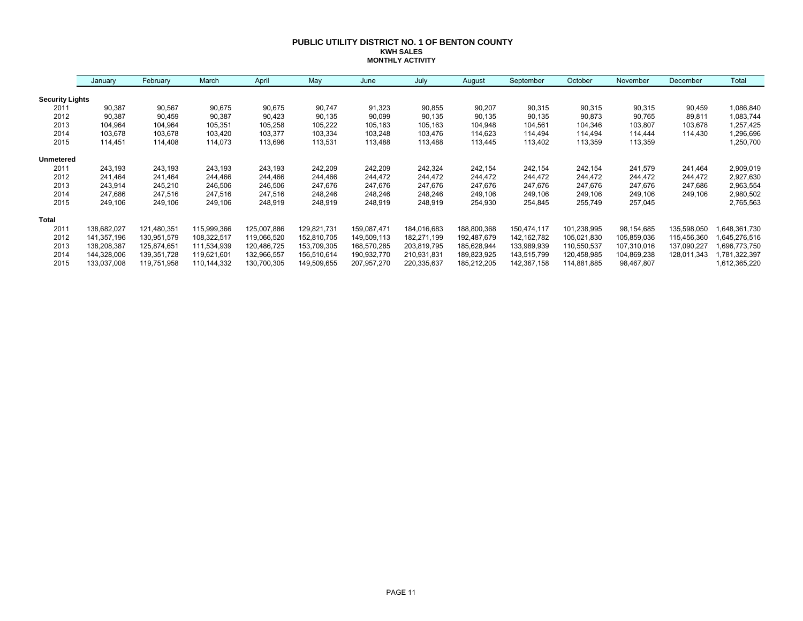#### **PUBLIC UTILITY DISTRICT NO. 1 OF BENTON COUNTY KWH SALES MONTHLY ACTIVITY**

|                        | January     | February    | March       | April       | May         | June        | July        | August      | September     | October     | November    | December    | Total         |
|------------------------|-------------|-------------|-------------|-------------|-------------|-------------|-------------|-------------|---------------|-------------|-------------|-------------|---------------|
| <b>Security Lights</b> |             |             |             |             |             |             |             |             |               |             |             |             |               |
| 2011                   | 90,387      | 90,567      | 90,675      | 90,675      | 90,747      | 91,323      | 90,855      | 90,207      | 90,315        | 90,315      | 90,315      | 90,459      | 1,086,840     |
| 2012                   | 90,387      | 90,459      | 90,387      | 90,423      | 90,135      | 90,099      | 90,135      | 90,135      | 90,135        | 90,873      | 90,765      | 89,811      | 1,083,744     |
| 2013                   | 104,964     | 104,964     | 105,351     | 105,258     | 105,222     | 105,163     | 105,163     | 104,948     | 104,561       | 104,346     | 103,807     | 103,678     | 1,257,425     |
| 2014                   | 103,678     | 103,678     | 103,420     | 103,377     | 103,334     | 103,248     | 103,476     | 114,623     | 114,494       | 114,494     | 114,444     | 114,430     | 1,296,696     |
| 2015                   | 114,451     | 114,408     | 114,073     | 113,696     | 113,531     | 113,488     | 113,488     | 113,445     | 113,402       | 113,359     | 113,359     |             | 1,250,700     |
| <b>Unmetered</b>       |             |             |             |             |             |             |             |             |               |             |             |             |               |
| 2011                   | 243,193     | 243,193     | 243,193     | 243,193     | 242,209     | 242,209     | 242,324     | 242,154     | 242,154       | 242,154     | 241,579     | 241,464     | 2,909,019     |
| 2012                   | 241,464     | 241,464     | 244,466     | 244,466     | 244,466     | 244,472     | 244,472     | 244,472     | 244,472       | 244,472     | 244,472     | 244,472     | 2,927,630     |
| 2013                   | 243,914     | 245,210     | 246,506     | 246,506     | 247,676     | 247,676     | 247,676     | 247,676     | 247,676       | 247,676     | 247,676     | 247,686     | 2,963,554     |
| 2014                   | 247,686     | 247,516     | 247,516     | 247,516     | 248,246     | 248,246     | 248,246     | 249,106     | 249,106       | 249,106     | 249,106     | 249,106     | 2,980,502     |
| 2015                   | 249,106     | 249,106     | 249,106     | 248,919     | 248,919     | 248,919     | 248,919     | 254,930     | 254,845       | 255,749     | 257,045     |             | 2,765,563     |
| Total                  |             |             |             |             |             |             |             |             |               |             |             |             |               |
| 2011                   | 138,682,027 | 121,480,351 | 115,999,366 | 125,007,886 | 129,821,731 | 159,087,471 | 184,016,683 | 188,800,368 | 150,474,117   | 101,238,995 | 98,154,685  | 135,598,050 | 648,361,730   |
| 2012                   | 141,357,196 | 130,951,579 | 108,322,517 | 119,066,520 | 152,810,705 | 149,509,113 | 182,271,199 | 192,487,679 | 142, 162, 782 | 105,021,830 | 105,859,036 | 115,456,360 | 645,276,516   |
| 2013                   | 138,208,387 | 125,874,651 | 111,534,939 | 120,486,725 | 153,709,305 | 168,570,285 | 203,819,795 | 185,628,944 | 133,989,939   | 110,550,537 | 107,310,016 | 137,090,227 | 696,773,750   |
| 2014                   | 144,328,006 | 139,351,728 | 119,621,601 | 132,966,557 | 156,510,614 | 190,932,770 | 210,931,831 | 189,823,925 | 143,515,799   | 120,458,985 | 104,869,238 | 128,011,343 | ,781,322,397  |
| 2015                   | 133,037,008 | 119,751,958 | 110,144,332 | 130,700,305 | 149,509,655 | 207,957,270 | 220,335,637 | 185,212,205 | 142,367,158   | 114,881,885 | 98,467,807  |             | 1,612,365,220 |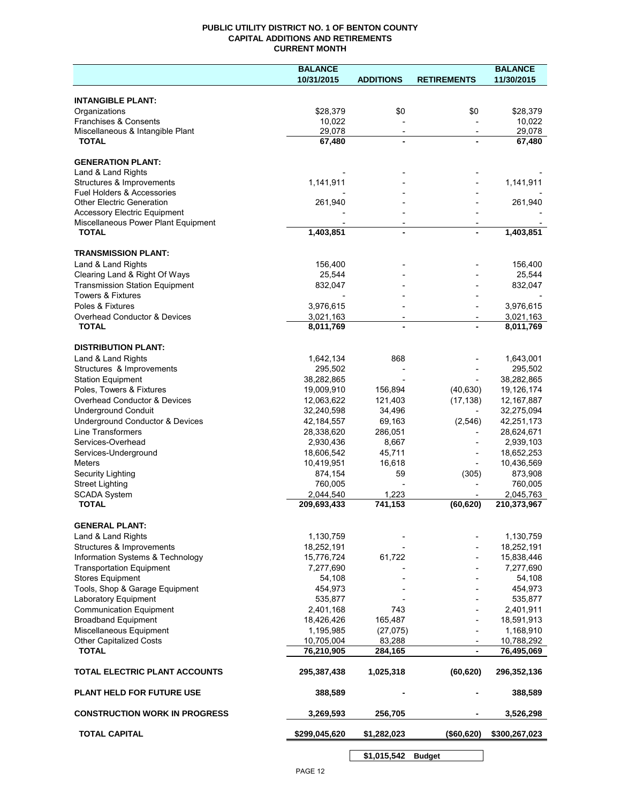## **PUBLIC UTILITY DISTRICT NO. 1 OF BENTON COUNTY CAPITAL ADDITIONS AND RETIREMENTS CURRENT MONTH**

|                                                                         | <b>BALANCE</b>          |                  |                              | <b>BALANCE</b>        |
|-------------------------------------------------------------------------|-------------------------|------------------|------------------------------|-----------------------|
|                                                                         | 10/31/2015              | <b>ADDITIONS</b> | <b>RETIREMENTS</b>           | 11/30/2015            |
| <b>INTANGIBLE PLANT:</b>                                                |                         |                  |                              |                       |
| Organizations                                                           | \$28,379                | \$0              | \$0                          | \$28,379              |
| Franchises & Consents                                                   | 10,022                  |                  |                              | 10,022                |
| Miscellaneous & Intangible Plant                                        | 29,078                  |                  |                              | 29,078                |
| <b>TOTAL</b>                                                            | 67,480                  |                  |                              | 67,480                |
| <b>GENERATION PLANT:</b>                                                |                         |                  |                              |                       |
| Land & Land Rights                                                      |                         |                  |                              |                       |
| Structures & Improvements                                               | 1,141,911               |                  |                              | 1,141,911             |
| <b>Fuel Holders &amp; Accessories</b>                                   |                         |                  |                              |                       |
| <b>Other Electric Generation</b><br><b>Accessory Electric Equipment</b> | 261,940                 |                  |                              | 261,940               |
| Miscellaneous Power Plant Equipment                                     |                         |                  |                              |                       |
| <b>TOTAL</b>                                                            | 1,403,851               |                  |                              | 1,403,851             |
|                                                                         |                         |                  |                              |                       |
| <b>TRANSMISSION PLANT:</b><br>Land & Land Rights                        | 156,400                 |                  |                              | 156,400               |
| Clearing Land & Right Of Ways                                           | 25,544                  |                  |                              | 25,544                |
| <b>Transmission Station Equipment</b>                                   | 832,047                 |                  |                              | 832,047               |
| <b>Towers &amp; Fixtures</b>                                            |                         |                  |                              |                       |
| Poles & Fixtures                                                        | 3,976,615               |                  |                              | 3,976,615             |
| Overhead Conductor & Devices                                            | 3,021,163               |                  |                              | 3,021,163             |
| <b>TOTAL</b>                                                            | 8,011,769               |                  |                              | 8,011,769             |
| <b>DISTRIBUTION PLANT:</b>                                              |                         |                  |                              |                       |
| Land & Land Rights                                                      | 1,642,134               | 868              |                              | 1,643,001             |
| Structures & Improvements                                               | 295,502                 |                  |                              | 295,502               |
| <b>Station Equipment</b>                                                | 38,282,865              |                  |                              | 38,282,865            |
| Poles, Towers & Fixtures                                                | 19,009,910              | 156,894          | (40, 630)                    | 19,126,174            |
| Overhead Conductor & Devices                                            | 12,063,622              | 121,403          | (17, 138)                    | 12,167,887            |
| <b>Underground Conduit</b>                                              | 32,240,598              | 34,496           |                              | 32,275,094            |
| Underground Conductor & Devices                                         | 42,184,557              | 69,163           | (2, 546)                     | 42,251,173            |
| Line Transformers                                                       | 28,338,620              | 286,051          |                              | 28,624,671            |
| Services-Overhead                                                       | 2,930,436               | 8,667            |                              | 2,939,103             |
| Services-Underground<br><b>Meters</b>                                   | 18,606,542              | 45,711           | $\overline{a}$               | 18,652,253            |
| Security Lighting                                                       | 10,419,951<br>874,154   | 16,618<br>59     | (305)                        | 10,436,569<br>873,908 |
| <b>Street Lighting</b>                                                  | 760,005                 |                  |                              | 760,005               |
| <b>SCADA System</b>                                                     | 2,044,540               | 1,223            |                              | 2,045,763             |
| <b>TOTAL</b>                                                            | 209,693,433             | 741,153          | (60, 620)                    | 210,373,967           |
|                                                                         |                         |                  |                              |                       |
| <b>GENERAL PLANT:</b><br>Land & Land Rights                             |                         |                  |                              | 1,130,759             |
| Structures & Improvements                                               | 1,130,759<br>18,252,191 |                  |                              | 18,252,191            |
| Information Systems & Technology                                        | 15,776,724              | 61,722           |                              | 15,838,446            |
| <b>Transportation Equipment</b>                                         | 7,277,690               |                  |                              | 7,277,690             |
| <b>Stores Equipment</b>                                                 | 54,108                  |                  |                              | 54,108                |
| Tools, Shop & Garage Equipment                                          | 454,973                 |                  |                              | 454,973               |
| Laboratory Equipment                                                    | 535,877                 |                  |                              | 535,877               |
| <b>Communication Equipment</b>                                          | 2,401,168               | 743              |                              | 2,401,911             |
| <b>Broadband Equipment</b>                                              | 18,426,426              | 165,487          |                              | 18,591,913            |
| Miscellaneous Equipment                                                 | 1,195,985               | (27, 075)        |                              | 1,168,910             |
| <b>Other Capitalized Costs</b>                                          | 10,705,004              | 83,288           | $\overline{\phantom{a}}$     | 10,788,292            |
| <b>TOTAL</b>                                                            | 76,210,905              | 284,165          | $\qquad \qquad \blacksquare$ | 76,495,069            |
| TOTAL ELECTRIC PLANT ACCOUNTS                                           | 295,387,438             | 1,025,318        | (60, 620)                    | 296,352,136           |
| <b>PLANT HELD FOR FUTURE USE</b>                                        | 388,589                 |                  |                              | 388,589               |
| <b>CONSTRUCTION WORK IN PROGRESS</b>                                    | 3,269,593               | 256,705          |                              | 3,526,298             |
| <b>TOTAL CAPITAL</b>                                                    | \$299,045,620           | \$1,282,023      | (\$60,620)                   | \$300,267,023         |
|                                                                         |                         | \$1,015,542      | <b>Budget</b>                |                       |

PAGE 12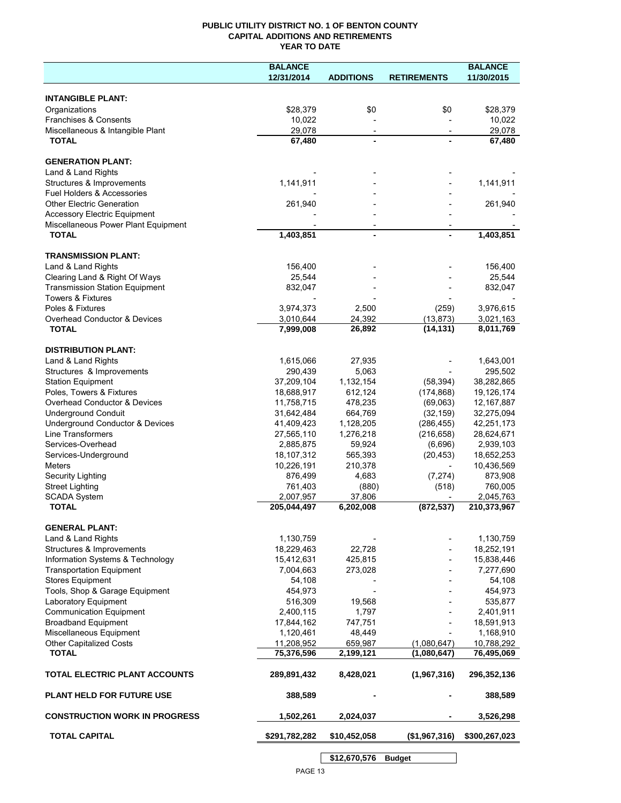## **PUBLIC UTILITY DISTRICT NO. 1 OF BENTON COUNTY CAPITAL ADDITIONS AND RETIREMENTS YEAR TO DATE**

|                                       | <b>BALANCE</b> | <b>BALANCE</b>           |                          |               |
|---------------------------------------|----------------|--------------------------|--------------------------|---------------|
|                                       | 12/31/2014     | <b>ADDITIONS</b>         | <b>RETIREMENTS</b>       | 11/30/2015    |
|                                       |                |                          |                          |               |
| <b>INTANGIBLE PLANT:</b>              |                |                          |                          |               |
| Organizations                         | \$28,379       | \$0                      | \$0                      | \$28,379      |
| Franchises & Consents                 | 10,022         |                          |                          | 10,022        |
| Miscellaneous & Intangible Plant      | 29,078         | $\overline{\phantom{a}}$ | $\overline{\phantom{a}}$ | 29.078        |
| <b>TOTAL</b>                          | 67,480         |                          |                          | 67,480        |
|                                       |                |                          |                          |               |
| <b>GENERATION PLANT:</b>              |                |                          |                          |               |
| Land & Land Rights                    |                |                          |                          |               |
| Structures & Improvements             | 1,141,911      |                          |                          | 1,141,911     |
| Fuel Holders & Accessories            |                |                          |                          |               |
| <b>Other Electric Generation</b>      | 261,940        |                          |                          | 261,940       |
| <b>Accessory Electric Equipment</b>   |                |                          |                          |               |
| Miscellaneous Power Plant Equipment   |                |                          |                          |               |
| <b>TOTAL</b>                          | 1,403,851      |                          |                          | 1,403,851     |
|                                       |                |                          |                          |               |
| <b>TRANSMISSION PLANT:</b>            |                |                          |                          |               |
| Land & Land Rights                    | 156,400        |                          |                          | 156,400       |
| Clearing Land & Right Of Ways         | 25,544         |                          |                          | 25,544        |
| <b>Transmission Station Equipment</b> | 832,047        |                          |                          | 832,047       |
| <b>Towers &amp; Fixtures</b>          |                |                          |                          |               |
| Poles & Fixtures                      | 3,974,373      | 2,500                    | (259)                    | 3,976,615     |
| Overhead Conductor & Devices          | 3,010,644      | 24,392                   | (13, 873)                | 3,021,163     |
| <b>TOTAL</b>                          | 7,999,008      | 26,892                   | (14, 131)                | 8,011,769     |
|                                       |                |                          |                          |               |
| <b>DISTRIBUTION PLANT:</b>            |                |                          |                          |               |
| Land & Land Rights                    | 1,615,066      | 27,935                   |                          | 1,643,001     |
| Structures & Improvements             | 290,439        | 5,063                    |                          | 295,502       |
| <b>Station Equipment</b>              | 37,209,104     | 1,132,154                | (58, 394)                | 38,282,865    |
| Poles, Towers & Fixtures              | 18,688,917     | 612,124                  | (174, 868)               | 19,126,174    |
| Overhead Conductor & Devices          | 11,758,715     | 478,235                  | (69,063)                 | 12,167,887    |
| <b>Underground Conduit</b>            | 31,642,484     | 664,769                  | (32, 159)                | 32,275,094    |
| Underground Conductor & Devices       | 41,409,423     | 1,128,205                | (286, 455)               | 42,251,173    |
| Line Transformers                     | 27,565,110     | 1,276,218                | (216, 658)               | 28,624,671    |
| Services-Overhead                     | 2,885,875      | 59,924                   | (6,696)                  | 2,939,103     |
| Services-Underground                  | 18,107,312     | 565,393                  | (20, 453)                | 18,652,253    |
| Meters                                | 10,226,191     | 210,378                  |                          | 10,436,569    |
| Security Lighting                     | 876,499        | 4,683                    | (7, 274)                 | 873,908       |
| <b>Street Lighting</b>                | 761,403        | (880)                    | (518)                    | 760,005       |
| <b>SCADA System</b>                   | 2,007,957      | 37,806                   |                          | 2,045,763     |
| <b>TOTAL</b>                          | 205,044,497    | 6,202,008                | (872, 537)               | 210,373,967   |
|                                       |                |                          |                          |               |
| <b>GENERAL PLANT:</b>                 |                |                          |                          |               |
| Land & Land Rights                    | 1,130,759      |                          |                          | 1,130,759     |
| Structures & Improvements             | 18,229,463     | 22,728                   |                          | 18,252,191    |
| Information Systems & Technology      | 15,412,631     | 425,815                  |                          | 15,838,446    |
| <b>Transportation Equipment</b>       | 7,004,663      | 273,028                  |                          | 7,277,690     |
| <b>Stores Equipment</b>               | 54,108         |                          |                          | 54,108        |
| Tools, Shop & Garage Equipment        | 454,973        |                          |                          | 454,973       |
| Laboratory Equipment                  | 516,309        | 19,568                   |                          | 535,877       |
| <b>Communication Equipment</b>        | 2,400,115      | 1,797                    |                          | 2,401,911     |
| <b>Broadband Equipment</b>            | 17,844,162     | 747,751                  |                          | 18,591,913    |
| Miscellaneous Equipment               | 1,120,461      | 48,449                   |                          | 1,168,910     |
| Other Capitalized Costs               | 11,208,952     | 659,987                  | (1,080,647)              | 10,788,292    |
| <b>TOTAL</b>                          | 75,376,596     | 2,199,121                | (1,080,647)              | 76,495,069    |
|                                       |                |                          |                          |               |
| TOTAL ELECTRIC PLANT ACCOUNTS         | 289,891,432    | 8,428,021                | (1,967,316)              | 296,352,136   |
|                                       |                |                          |                          |               |
| <b>PLANT HELD FOR FUTURE USE</b>      | 388,589        |                          |                          | 388,589       |
|                                       |                |                          |                          |               |
| <b>CONSTRUCTION WORK IN PROGRESS</b>  | 1,502,261      | 2,024,037                |                          | 3,526,298     |
|                                       |                |                          |                          |               |
| <b>TOTAL CAPITAL</b>                  | \$291,782,282  | \$10,452,058             | (\$1,967,316)            | \$300,267,023 |
|                                       |                |                          |                          |               |

**\$12,670,576 Budget**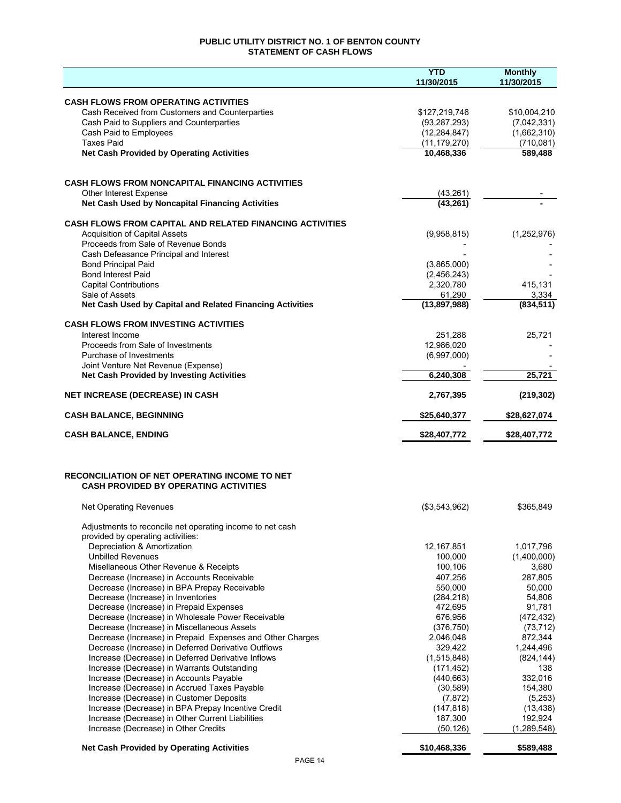## **PUBLIC UTILITY DISTRICT NO. 1 OF BENTON COUNTY STATEMENT OF CASH FLOWS**

|                                                                                                   | <b>YTD</b>                | <b>Monthly</b>      |
|---------------------------------------------------------------------------------------------------|---------------------------|---------------------|
|                                                                                                   | 11/30/2015                | 11/30/2015          |
| <b>CASH FLOWS FROM OPERATING ACTIVITIES</b>                                                       |                           |                     |
| Cash Received from Customers and Counterparties                                                   | \$127,219,746             | \$10,004,210        |
| Cash Paid to Suppliers and Counterparties                                                         | (93, 287, 293)            | (7,042,331)         |
| Cash Paid to Employees                                                                            | (12, 284, 847)            | (1,662,310)         |
| <b>Taxes Paid</b>                                                                                 | (11, 179, 270)            | (710, 081)          |
| <b>Net Cash Provided by Operating Activities</b>                                                  | 10,468,336                | 589,488             |
|                                                                                                   |                           |                     |
| <b>CASH FLOWS FROM NONCAPITAL FINANCING ACTIVITIES</b>                                            |                           |                     |
| <b>Other Interest Expense</b>                                                                     | (43, 261)                 |                     |
| Net Cash Used by Noncapital Financing Activities                                                  | (43, 261)                 |                     |
| <b>CASH FLOWS FROM CAPITAL AND RELATED FINANCING ACTIVITIES</b>                                   |                           |                     |
| <b>Acquisition of Capital Assets</b>                                                              | (9,958,815)               | (1,252,976)         |
| Proceeds from Sale of Revenue Bonds                                                               |                           |                     |
| Cash Defeasance Principal and Interest                                                            |                           |                     |
| <b>Bond Principal Paid</b>                                                                        | (3,865,000)               |                     |
| <b>Bond Interest Paid</b>                                                                         | (2,456,243)               |                     |
| <b>Capital Contributions</b>                                                                      | 2,320,780                 | 415,131             |
| Sale of Assets<br>Net Cash Used by Capital and Related Financing Activities                       | 61,290<br>(13, 897, 988)  | 3,334<br>(834, 511) |
|                                                                                                   |                           |                     |
| <b>CASH FLOWS FROM INVESTING ACTIVITIES</b>                                                       |                           |                     |
| Interest Income                                                                                   | 251,288                   | 25,721              |
| Proceeds from Sale of Investments                                                                 | 12,986,020                |                     |
| Purchase of Investments<br>Joint Venture Net Revenue (Expense)                                    | (6,997,000)               |                     |
| <b>Net Cash Provided by Investing Activities</b>                                                  | 6,240,308                 | 25,721              |
| <b>NET INCREASE (DECREASE) IN CASH</b>                                                            | 2,767,395                 | (219, 302)          |
| <b>CASH BALANCE, BEGINNING</b>                                                                    | \$25,640,377              | \$28,627,074        |
|                                                                                                   |                           |                     |
| <b>CASH BALANCE, ENDING</b>                                                                       | \$28,407,772              | \$28,407,772        |
|                                                                                                   |                           |                     |
| <b>RECONCILIATION OF NET OPERATING INCOME TO NET</b>                                              |                           |                     |
| <b>CASH PROVIDED BY OPERATING ACTIVITIES</b>                                                      |                           |                     |
| <b>Net Operating Revenues</b>                                                                     | (\$3,543,962)             | \$365,849           |
|                                                                                                   |                           |                     |
| Adjustments to reconcile net operating income to net cash<br>provided by operating activities:    |                           |                     |
| Depreciation & Amortization                                                                       | 12,167,851                | 1,017,796           |
| <b>Unbilled Revenues</b>                                                                          | 100,000                   | (1,400,000)         |
| Misellaneous Other Revenue & Receipts                                                             | 100,106                   | 3,680               |
| Decrease (Increase) in Accounts Receivable                                                        | 407,256                   | 287,805             |
| Decrease (Increase) in BPA Prepay Receivable                                                      | 550,000                   | 50,000              |
| Decrease (Increase) in Inventories                                                                | (284, 218)                | 54,806              |
| Decrease (Increase) in Prepaid Expenses                                                           | 472,695                   | 91,781              |
| Decrease (Increase) in Wholesale Power Receivable                                                 | 676,956                   | (472, 432)          |
| Decrease (Increase) in Miscellaneous Assets                                                       | (376, 750)                | (73, 712)           |
| Decrease (Increase) in Prepaid Expenses and Other Charges                                         | 2.046.048                 | 872,344             |
| Decrease (Increase) in Deferred Derivative Outflows                                               | 329,422                   | 1,244,496           |
| Increase (Decrease) in Deferred Derivative Inflows<br>Increase (Decrease) in Warrants Outstanding | (1,515,848)<br>(171, 452) | (824, 144)<br>138   |
| Increase (Decrease) in Accounts Payable                                                           | (440, 663)                | 332,016             |
| Increase (Decrease) in Accrued Taxes Payable                                                      | (30, 589)                 | 154,380             |
| Increase (Decrease) in Customer Deposits                                                          | (7, 872)                  | (5,253)             |
| Increase (Decrease) in BPA Prepay Incentive Credit                                                | (147, 818)                | (13, 438)           |
| Increase (Decrease) in Other Current Liabilities                                                  | 187,300                   | 192,924             |
| Increase (Decrease) in Other Credits                                                              | (50, 126)                 | (1,289,548)         |
| <b>Net Cash Provided by Operating Activities</b>                                                  | \$10,468,336              | \$589,488           |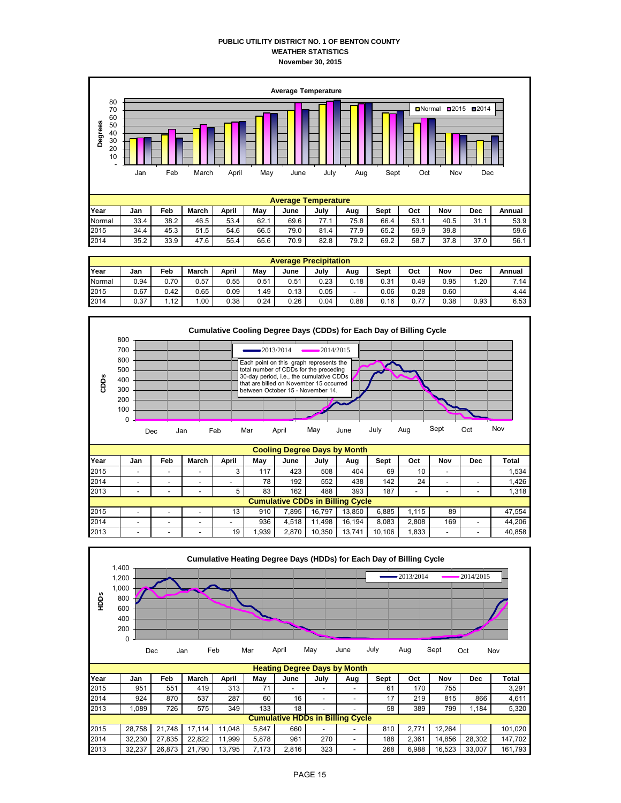### **PUBLIC UTILITY DISTRICT NO. 1 OF BENTON COUNTY WEATHER STATISTICS November 30, 2015**



| <b>Average Precipitation</b> |      |      |       |       |      |      |      |      |      |      |      |      |        |
|------------------------------|------|------|-------|-------|------|------|------|------|------|------|------|------|--------|
| Year                         | Jan  | Feb  | March | April | May  | June | July | Aug  | Sept | Oct  | Nov  | Dec  | Annual |
| Normal                       | 0.94 | 0.70 | 0.57  | 0.55  | 0.51 | 0.51 | 0.23 | 0.18 | 0.31 | 0.49 | 0.95 | .20  | 7.14   |
| 2015                         | 0.67 | 0.42 | 0.65  | 0.09  | 1.49 | 0.13 | 0.05 |      | 0.06 | 0.28 | 0.60 |      | 4.44   |
| 2014                         | 0.37 | 1.12 | .00   | 0.38  | 0.24 | 0.26 | 0.04 | 0.88 | 0.16 | 0.77 | 0.38 | 0.93 | 6.53   |



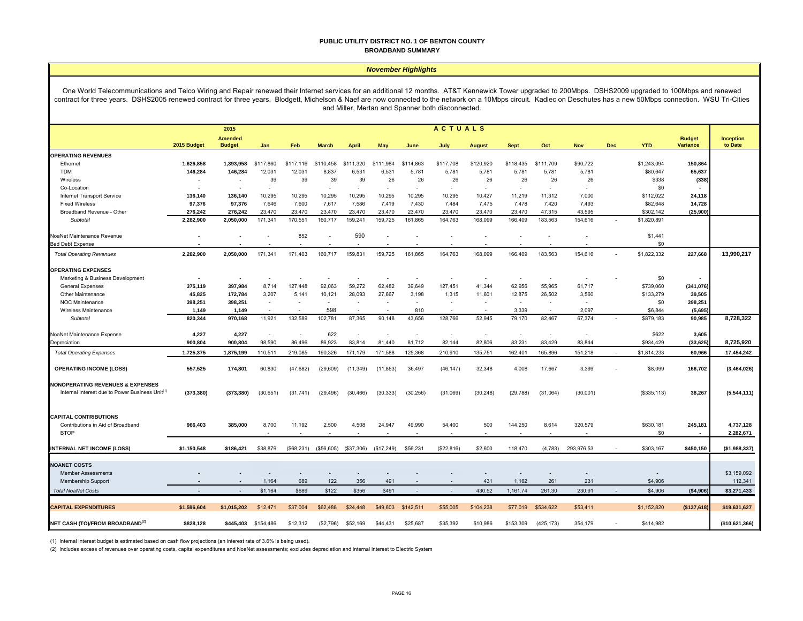#### **PUBLIC UTILITY DISTRICT NO. 1 OF BENTON COUNTY BROADBAND SUMMARY**

#### *November Highlights*

One World Telecommunications and Telco Wiring and Repair renewed their Internet services for an additional 12 months. AT&T Kennewick Tower upgraded to 200Mbps. DSHS2009 upgraded to 100Mbps and renewed contract for three years. DSHS2005 renewed contract for three years. Blodgett, Michelson & Naef are now connected to the network on a 10Mbps circuit. Kadlec on Deschutes has a new 50Mbps connection. WSU Tri-Cities and Miller, Mertan and Spanner both disconnected.

|                                                            | <b>ACTUALS</b><br>2015 |                          |                          |            |                          |              |            |           |                          |               |             |            |            |            |              |                 |                  |
|------------------------------------------------------------|------------------------|--------------------------|--------------------------|------------|--------------------------|--------------|------------|-----------|--------------------------|---------------|-------------|------------|------------|------------|--------------|-----------------|------------------|
|                                                            |                        | <b>Amended</b>           |                          |            |                          |              |            |           |                          |               |             |            |            |            |              | <b>Budget</b>   | <b>Inception</b> |
|                                                            | 2015 Budget            | <b>Budget</b>            | Jan                      | Feb        | <b>March</b>             | <b>April</b> | May        | June      | July                     | <b>August</b> | <b>Sept</b> | Oct        | <b>Nov</b> | <b>Dec</b> | <b>YTD</b>   | <b>Variance</b> | to Date          |
| <b>OPERATING REVENUES</b>                                  |                        |                          |                          |            |                          |              |            |           |                          |               |             |            |            |            |              |                 |                  |
| Ethernet                                                   | 1,626,858              | 1,393,958                | \$117,860                | \$117,116  | \$110,458                | \$111,320    | \$111,984  | \$114,863 | \$117,708                | \$120,920     | \$118,435   | \$111,709  | \$90,722   |            | \$1,243,094  | 150,864         |                  |
| <b>TDM</b>                                                 | 146,284                | 146,284                  | 12,031                   | 12,031     | 8,837                    | 6,531        | 6,531      | 5,781     | 5,781                    | 5,781         | 5,781       | 5,781      | 5,781      |            | \$80,647     | 65,637          |                  |
| Wireless                                                   | ٠                      | $\overline{\phantom{a}}$ | 39                       | 39         | 39                       | 39           | 26         | 26        | 26                       | 26            | 26          | 26         | 26         |            | \$338        | (338)           |                  |
| Co-Location                                                |                        | $\overline{\phantom{a}}$ | $\overline{\phantom{a}}$ |            | $\sim$                   | $\sim$       | $\sim$     | $\sim$    | $\sim$                   | $\sim$        | $\sim$      | $\sim$     | $\sim$     |            | \$0          |                 |                  |
| Internet Transport Service                                 | 136,140                | 136,140                  | 10,295                   | 10,295     | 10.295                   | 10,295       | 10,295     | 10.295    | 10,295                   | 10,427        | 11,219      | 11.312     | 7,000      |            | \$112,022    | 24,118          |                  |
| <b>Fixed Wireless</b>                                      | 97,376                 | 97,376                   | 7,646                    | 7,600      | 7,617                    | 7,586        | 7,419      | 7,430     | 7,484                    | 7,475         | 7,478       | 7,420      | 7,493      |            | \$82,648     | 14,728          |                  |
| Broadband Revenue - Other                                  | 276,242                | 276.242                  | 23.470                   | 23,470     | 23.470                   | 23.470       | 23.470     | 23.470    | 23,470                   | 23,470        | 23,470      | 47,315     | 43.595     |            | \$302.142    | (25, 900)       |                  |
| Subtotal                                                   | 2,282,900              | 2,050,000                | 171,341                  | 170,551    | 160,717                  | 159,241      | 159,725    | 161,865   | 164,763                  | 168,099       | 166,409     | 183,563    | 154,616    |            | \$1,820,891  |                 |                  |
| NoaNet Maintenance Revenue                                 |                        |                          |                          | 852        |                          | 590          |            |           | $\overline{\phantom{a}}$ |               |             |            |            |            | \$1,441      |                 |                  |
| <b>Bad Debt Expense</b>                                    |                        |                          |                          |            |                          |              |            |           |                          |               |             |            |            |            | \$0          |                 |                  |
| <b>Total Operating Revenues</b>                            | 2,282,900              | 2,050,000                | 171,341                  | 171,403    | 160,717                  | 159,831      | 159,725    | 161,865   | 164,763                  | 168,099       | 166,409     | 183,563    | 154,616    |            | \$1,822,332  | 227,668         | 13,990,217       |
| <b>OPERATING EXPENSES</b>                                  |                        |                          |                          |            |                          |              |            |           |                          |               |             |            |            |            |              |                 |                  |
| Marketing & Business Development                           |                        | $\overline{\phantom{a}}$ |                          |            |                          |              |            |           | $\overline{\phantom{a}}$ |               |             |            |            |            | \$0          |                 |                  |
| <b>General Expenses</b>                                    | 375,119                | 397,984                  | 8,714                    | 127,448    | 92,063                   | 59,272       | 62,482     | 39,649    | 127,451                  | 41,344        | 62,956      | 55,965     | 61,717     |            | \$739,060    | (341, 076)      |                  |
| Other Maintenance                                          | 45,825                 | 172,784                  | 3,207                    | 5,141      | 10,121                   | 28,093       | 27,667     | 3,198     | 1,315                    | 11,601        | 12,875      | 26,502     | 3,560      |            | \$133,279    | 39,505          |                  |
| NOC Maintenance                                            | 398,251                | 398,251                  | $\sim$                   | ٠          | $\overline{\phantom{a}}$ | $\sim$       |            | $\sim$    | $\sim$                   | $\sim$        | $\sim$      |            | $\sim$     |            | \$0          | 398,251         |                  |
| <b>Wireless Maintenance</b>                                | 1,149                  | 1,149                    |                          |            | 598                      |              |            | 810       |                          |               | 3.339       |            | 2.097      |            | \$6,844      | (5,695)         |                  |
| Subtotal                                                   | 820,344                | 970,168                  | 11,921                   | 132,589    | 102,781                  | 87,365       | 90,148     | 43,656    | 128,766                  | 52,945        | 79,170      | 82,467     | 67,374     |            | \$879,183    | 90,985          | 8,728,322        |
| NoaNet Maintenance Expense                                 | 4,227                  | 4,227                    |                          |            | 622                      |              |            | $\sim$    | $\sim$                   | $\sim$        | ÷.          |            | $\sim$     |            | \$622        | 3,605           |                  |
| Depreciation                                               | 900,804                | 900,804                  | 98,590                   | 86,496     | 86,923                   | 83,814       | 81,440     | 81,712    | 82,144                   | 82,806        | 83,231      | 83,429     | 83,844     |            | \$934,429    | (33, 625)       | 8,725,920        |
| <b>Total Operating Expenses</b>                            | 1,725,375              | 1,875,199                | 110,511                  | 219,085    | 190,326                  | 171,179      | 171,588    | 125,368   | 210,910                  | 135,751       | 162,401     | 165,896    | 151,218    | $\sim$     | \$1,814,233  | 60,966          | 17,454,242       |
|                                                            |                        |                          |                          |            |                          |              |            |           |                          |               |             |            |            |            |              |                 |                  |
| <b>OPERATING INCOME (LOSS)</b>                             | 557,525                | 174,801                  | 60,830                   | (47, 682)  | (29, 609)                | (11, 349)    | (11, 863)  | 36,497    | (46, 147)                | 32,348        | 4,008       | 17,667     | 3,399      |            | \$8,099      | 166,702         | (3,464,026)      |
| <b>NONOPERATING REVENUES &amp; EXPENSES</b>                |                        |                          |                          |            |                          |              |            |           |                          |               |             |            |            |            |              |                 |                  |
| Internal Interest due to Power Business Unit <sup>(1</sup> | (373, 380)             | (373, 380)               | (30, 651)                | (31,741)   | (29, 496)                | (30, 466)    | (30, 333)  | (30, 256) | (31,069)                 | (30, 248)     | (29, 788)   | (31,064)   | (30,001)   |            | (\$335, 113) | 38,267          | (5,544,111)      |
|                                                            |                        |                          |                          |            |                          |              |            |           |                          |               |             |            |            |            |              |                 |                  |
| <b>CAPITAL CONTRIBUTIONS</b>                               |                        |                          |                          |            |                          |              |            |           |                          |               |             |            |            |            |              |                 |                  |
| Contributions in Aid of Broadband                          | 966,403                | 385,000                  | 8,700                    | 11,192     | 2,500                    | 4,508        | 24,947     | 49,990    | 54,400                   | 500           | 144,250     | 8,614      | 320,579    |            | \$630,181    | 245,181         | 4,737,128        |
| <b>BTOP</b>                                                |                        |                          |                          |            |                          |              |            |           | $\sim$                   |               |             |            |            |            | \$0          | $\blacksquare$  | 2,282,671        |
| <b>INTERNAL NET INCOME (LOSS)</b>                          | \$1,150,548            | \$186,421                | \$38,879                 | (\$68,231) | (\$56,605)               | (\$37,306)   | (\$17,249) | \$56,231  | (\$22,816)               | \$2,600       | 118,470     | (4,783)    | 293,976.53 |            | \$303,167    | \$450,150       | (\$1,988,337)    |
|                                                            |                        |                          |                          |            |                          |              |            |           |                          |               |             |            |            |            |              |                 |                  |
| <b>NOANET COSTS</b>                                        |                        |                          |                          |            |                          |              |            |           |                          |               |             |            |            |            |              |                 |                  |
| <b>Member Assessments</b>                                  |                        |                          |                          |            |                          |              |            |           |                          |               |             |            |            |            |              |                 | \$3,159,092      |
| Membership Support                                         |                        | $\overline{a}$           | 1,164                    | 689        | 122                      | 356          | 491        |           |                          | 431           | 1,162       | 261        | 231        |            | \$4,906      |                 | 112,341          |
| <b>Total NoaNet Costs</b>                                  |                        | $\sim$                   | \$1,164                  | \$689      | \$122                    | \$356        | \$491      |           | $\sim$                   | 430.52        | 1,161.74    | 261.30     | 230.91     |            | \$4,906      | (\$4,906)       | \$3,271,433      |
| <b>CAPITAL EXPENDITURES</b>                                | \$1,596,604            | \$1.015.202              | \$12,471                 | \$37,004   | \$62,488                 | \$24,448     | \$49,603   | \$142,511 | \$55,005                 | \$104,238     | \$77,019    | \$534,622  | \$53,411   |            | \$1,152,820  | (\$137,618)     | \$19,631,627     |
|                                                            |                        |                          |                          |            |                          |              |            |           |                          |               |             |            |            |            |              |                 |                  |
| NET CASH (TO)/FROM BROADBAND <sup>(2)</sup>                | \$828,128              | \$445,403                | \$154,486                | \$12,312   | (\$2,796)                | \$52,169     | \$44,431   | \$25,687  | \$35,392                 | \$10,986      | \$153,309   | (425, 173) | 354,179    |            | \$414,982    |                 | (\$10,621,366)   |

(1) Internal interest budget is estimated based on cash flow projections (an interest rate of 3.6% is being used).

(2) Includes excess of revenues over operating costs, capital expenditures and NoaNet assessments; excludes depreciation and internal interest to Electric System